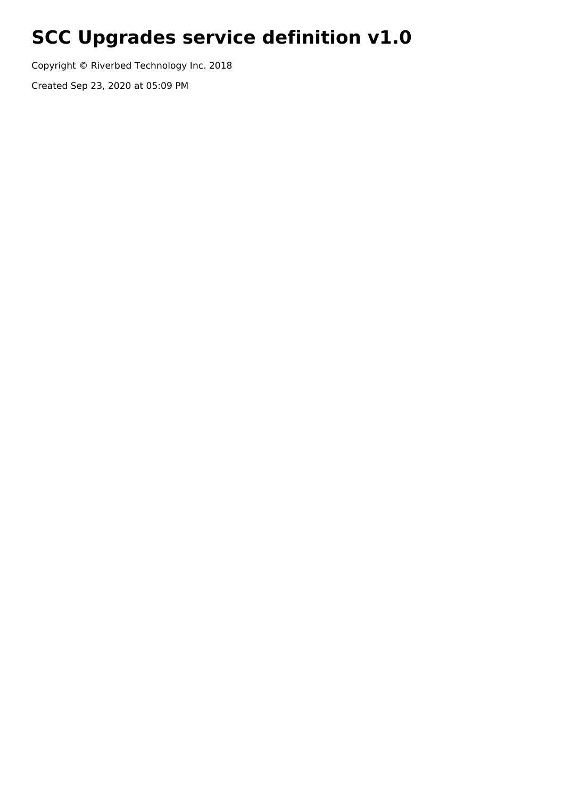# **SCC Upgrades service definition v1.0**

Copyright © Riverbed Technology Inc. 2018

Created Sep 23, 2020 at 05:09 PM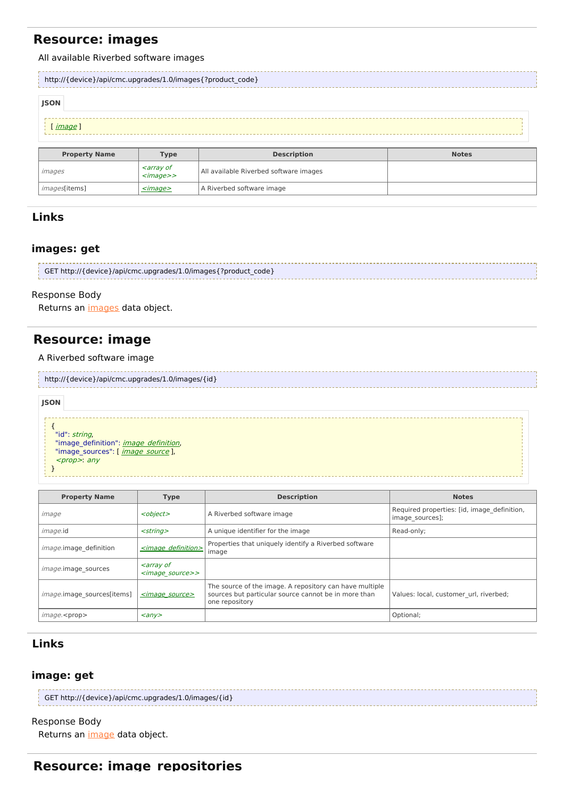# **Resource: images**

#### All available Riverbed software images

*images*[items]  $\left| \frac{\angle \text{image} \ge}{\angle} \right|$  A Riverbed software image

| http://{device}/api/cmc.upgrades/1.0/images{?product code}                |                                                                             |                                        |  |  |  |
|---------------------------------------------------------------------------|-----------------------------------------------------------------------------|----------------------------------------|--|--|--|
| <b>JSON</b>                                                               |                                                                             |                                        |  |  |  |
| image]                                                                    |                                                                             |                                        |  |  |  |
| <b>Description</b><br><b>Property Name</b><br><b>Notes</b><br><b>Type</b> |                                                                             |                                        |  |  |  |
| images                                                                    | <i><b><array b="" of<=""></array></b></i><br>$\langle \text{image} \rangle$ | All available Riverbed software images |  |  |  |

## **Links**

### **images: get**

```
GET http://{device}/api/cmc.upgrades/1.0/images{?product_code}
```
#### Response Body

Returns an [images](http://support.riverbed.com/apis/cmc.upgrades/1.0#/resources/images) data object.

# **Resource: image**

A Riverbed software image

| http://{device}/api/cmc.upgrades/1.0/images/{id} |
|--------------------------------------------------|
|                                                  |

### { "id": *string*, "[image\\_definition](http://support.riverbed.com/apis/cmc.upgrades/1.0#/types/image_definition)": *image\_definition*, "[image\\_source](http://support.riverbed.com/apis/cmc.upgrades/1.0#/types/image_source)s": [ *image\_source* ], <prop>: any } **JSON**

| <b>Property Name</b>       | <b>Type</b>                                                       | <b>Description</b>                                                                                                                | <b>Notes</b>                                                   |
|----------------------------|-------------------------------------------------------------------|-----------------------------------------------------------------------------------------------------------------------------------|----------------------------------------------------------------|
| image                      | <object></object>                                                 | A Riverbed software image                                                                                                         | Required properties: [id, image definition,<br>image sources]; |
| <i>image.id</i>            | $<$ string $>$                                                    | A unique identifier for the image                                                                                                 | Read-only;                                                     |
| image.image definition     | <image definition=""/>                                            | Properties that uniquely identify a Riverbed software<br>image                                                                    |                                                                |
| <i>image.image</i> sources | <i><b><array b="" of<=""></array></b></i><br><image source=""/> > |                                                                                                                                   |                                                                |
| image.image sources[items] | $\leq$ <i>image source</i>                                        | The source of the image. A repository can have multiple<br>sources but particular source cannot be in more than<br>one repository | Values: local, customer url, riverbed;                         |
| image. <prop></prop>       | $\langle$ any $\rangle$                                           |                                                                                                                                   | Optional;                                                      |

## **Links**

### **image: get**

| GET http://{device}/api/cmc.upgrades/1.0/images/{id} |
|------------------------------------------------------|
|                                                      |

## Response Body

Returns an *[image](http://support.riverbed.com/apis/cmc.upgrades/1.0#/resources/image)* data object.

## **Resource: image\_repositories**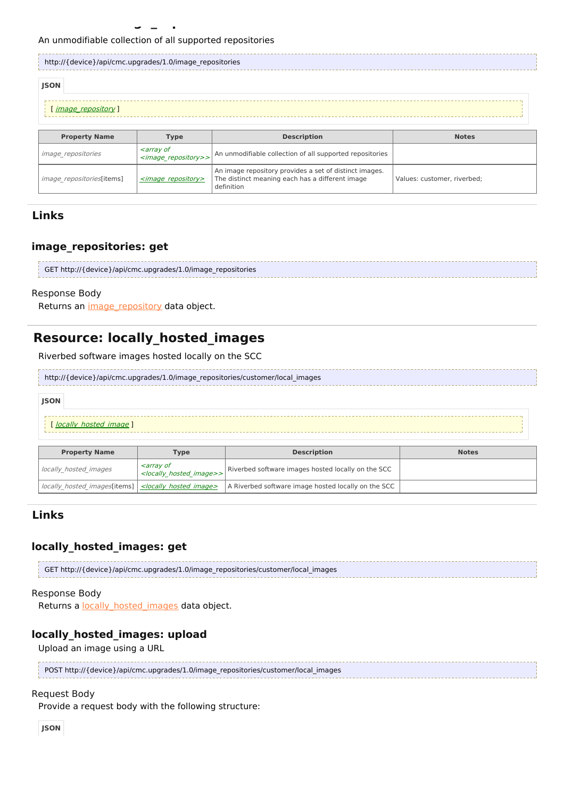#### An unmodifiable collection of all supported repositories

| http://{device}/api/cmc.upgrades/1.0/image repositories |                                                                       |                                                          |              |  |  |  |
|---------------------------------------------------------|-----------------------------------------------------------------------|----------------------------------------------------------|--------------|--|--|--|
| <b>JSON</b>                                             |                                                                       |                                                          |              |  |  |  |
| <i>image repository</i> ]                               |                                                                       |                                                          |              |  |  |  |
| <b>Property Name</b>                                    | <b>Type</b>                                                           | <b>Description</b>                                       | <b>Notes</b> |  |  |  |
| <i>image repositories</i>                               | <i><b><array b="" of<=""></array></b></i><br><image repository=""/> > | An unmodifiable collection of all supported repositories |              |  |  |  |
|                                                         |                                                                       | An image repository provides a set of distinct images.   |              |  |  |  |

The distinct meaning each has a different image

Values: customer, riverbed;

definition

## **Links**

## **image\_repositories: get**

| GET http://{device}/api/cmc.upgrades/1.0/image repositories |  |
|-------------------------------------------------------------|--|
|                                                             |  |

#### Response Body

Returns an *[image\\_repository](http://support.riverbed.com/apis/cmc.upgrades/1.0#/types/image_repository)* data object.

 $image$  repositories[items]  $\vert$   $\leq$  image repository>

# **Resource: locally\_hosted\_images**

Riverbed software images hosted locally on the SCC

| http://{device}/api/cmc.upgrades/1.0/image_repositories/customer/local_images |  |
|-------------------------------------------------------------------------------|--|
| <b>JSON</b>                                                                   |  |

| locally hosted<br><i>image</i> |
|--------------------------------|
|                                |
|                                |

| <b>Property Name</b>                                                  | <b>Type</b>                                                                             | <b>Description</b>                                  | <b>Notes</b> |
|-----------------------------------------------------------------------|-----------------------------------------------------------------------------------------|-----------------------------------------------------|--------------|
| l locally hosted images                                               | <i><b><array b="" of<=""></array></b></i><br><locally hosted="" image="">&gt;</locally> | Riverbed software images hosted locally on the SCC  |              |
| locally hosted images[items]   <locally hosted="" image=""></locally> |                                                                                         | A Riverbed software image hosted locally on the SCC |              |

## **Links**

## **locally\_hosted\_images: get**

GET http://{device}/api/cmc.upgrades/1.0/image\_repositories/customer/local\_images

#### Response Body

Returns a **locally** hosted images data object.

### **locally\_hosted\_images: upload**

Upload an image using a URL

| POST http://{device}/api/cmc.upgrades/1.0/image_repositories/customer/local_images |
|------------------------------------------------------------------------------------|
|                                                                                    |

### Request Body

Provide a request body with the following structure: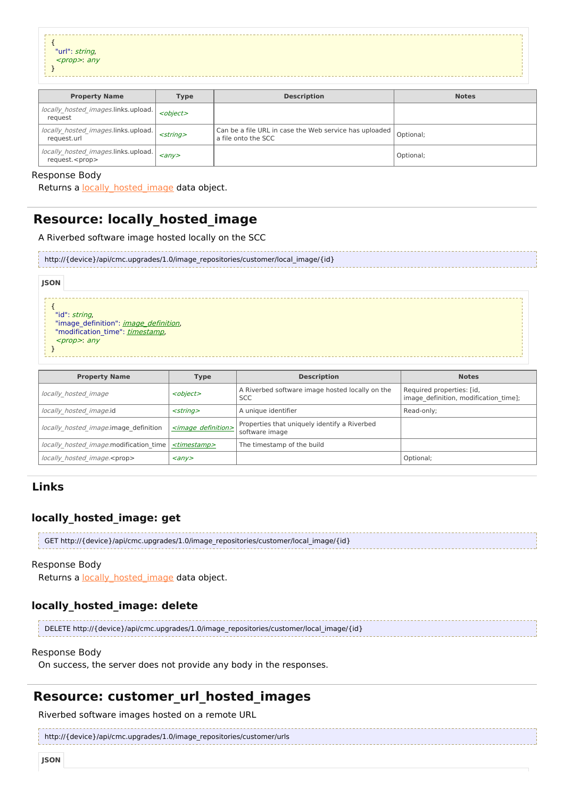| "url": <i>string,</i><br><i><prop>: any</prop></i> |  |
|----------------------------------------------------|--|
|                                                    |  |
|                                                    |  |
|                                                    |  |

| <b>Property Name</b>                                          | <b>Type</b>             | <b>Description</b>                                                            | <b>Notes</b> |
|---------------------------------------------------------------|-------------------------|-------------------------------------------------------------------------------|--------------|
| locally hosted images.links.upload.<br>request                | <object></object>       |                                                                               |              |
| locally hosted images.links.upload.<br>request.url            | $<$ string $>$          | Can be a file URL in case the Web service has uploaded<br>a file onto the SCC | Optional;    |
| locally_hosted_images.links.upload.<br>request. <prop></prop> | $\langle$ any $\rangle$ |                                                                               | Optional;    |

#### Response Body

Returns a **[locally\\_hosted\\_image](http://support.riverbed.com/apis/cmc.upgrades/1.0#/resources/locally_hosted_image)** data object.

# **Resource: locally\_hosted\_image**

A Riverbed software image hosted locally on the SCC

| http://{device}/api/cmc.upgrades/1.0/image_repositories/customer/local_image/{id} |
|-----------------------------------------------------------------------------------|
|                                                                                   |

| <b>JSON</b>                                                                      |  |
|----------------------------------------------------------------------------------|--|
|                                                                                  |  |
| "id": <i>string</i> ,                                                            |  |
| "image_definition": <i>image_definition</i> ,<br>"modification_time": timestamp, |  |
| <prop>: any</prop>                                                               |  |
|                                                                                  |  |

| <b>Property Name</b>                   | Type                        | <b>Description</b>                                             | <b>Notes</b>                                                       |
|----------------------------------------|-----------------------------|----------------------------------------------------------------|--------------------------------------------------------------------|
| locally hosted image                   | <object></object>           | A Riverbed software image hosted locally on the<br><b>SCC</b>  | Required properties: [id,<br>image definition, modification time]; |
| locally hosted image.id                | $<$ string $>$              | A unique identifier                                            | Read-only;                                                         |
| locally hosted image.image definition  | $\leq$ image definition $>$ | Properties that uniquely identify a Riverbed<br>software image |                                                                    |
| locally hosted image.modification time | <timestamp></timestamp>     | The timestamp of the build                                     |                                                                    |
| locally hosted image. <prop></prop>    | $\langle$ any $\rangle$     |                                                                | Optional;                                                          |

## **Links**

## **locally\_hosted\_image: get**

| GET http://{device}/api/cmc.upgrades/1.0/image_repositories/customer/local_image/{id} |  |
|---------------------------------------------------------------------------------------|--|
|                                                                                       |  |

### Response Body

Returns a [locally\\_hosted\\_image](http://support.riverbed.com/apis/cmc.upgrades/1.0#/resources/locally_hosted_image) data object.

## **locally\_hosted\_image: delete**

DELETE http://{device}/api/cmc.upgrades/1.0/image\_repositories/customer/local\_image/{id}

#### Response Body

On success, the server does not provide any body in the responses.

# **Resource: customer\_url\_hosted\_images**

Riverbed software images hosted on a remote URL

```
http://{device}/api/cmc.upgrades/1.0/image_repositories/customer/urls
```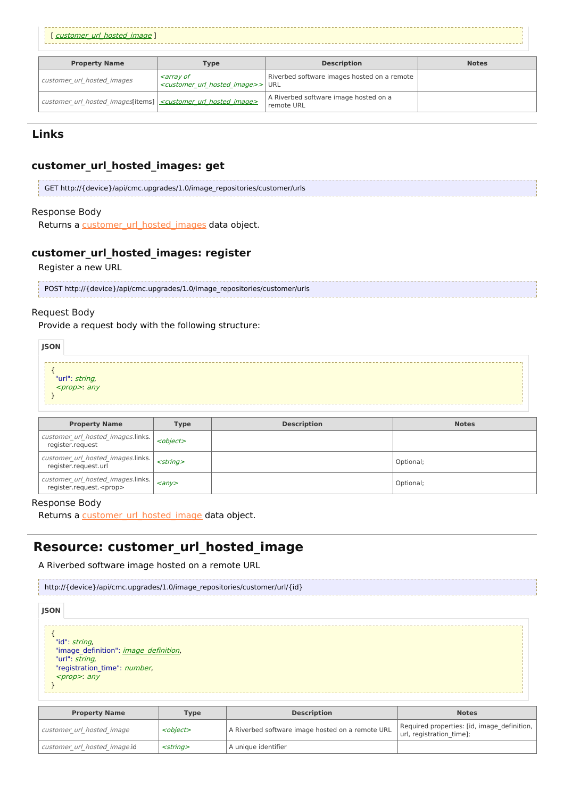#### [ [customer](http://support.riverbed.com/apis/cmc.upgrades/1.0#/resources/customer_url_hosted_image)\_[url](http://support.riverbed.com/apis/cmc.upgrades/1.0#/resources/customer_url_hosted_image)\_[hosted](http://support.riverbed.com/apis/cmc.upgrades/1.0#/resources/customer_url_hosted_image)\_[image](http://support.riverbed.com/apis/cmc.upgrades/1.0#/resources/customer_url_hosted_image) ]

| <b>Property Name</b>                                                              | Type                                                                                                 | <b>Description</b>                                  | <b>Notes</b> |
|-----------------------------------------------------------------------------------|------------------------------------------------------------------------------------------------------|-----------------------------------------------------|--------------|
| customer url hosted images                                                        | <i><b><array b="" of<=""></array></b></i><br><customer hosted="" image="" url="">&gt; URL</customer> | Riverbed software images hosted on a remote         |              |
| customer url hosted images[items] <customer hosted="" image="" url=""></customer> |                                                                                                      | A Riverbed software image hosted on a<br>remote URL |              |

## **Links**

## **customer\_url\_hosted\_images: get**

| GET http://{device}/api/cmc.upgrades/1.0/image repositories/customer/urls |
|---------------------------------------------------------------------------|
|                                                                           |

### Response Body

Returns a customer url hosted images data object.

## **customer\_url\_hosted\_images: register**

Register a new URL

| POST http://{device}/api/cmc.upgrades/1.0/image repositories/customer/urls |  |
|----------------------------------------------------------------------------|--|
|                                                                            |  |

#### Request Body

Provide a request body with the following structure:

| <b>JSON</b> |                                                 |  |  |  |
|-------------|-------------------------------------------------|--|--|--|
|             | "url": <i>string,</i><br>< <i>prop&gt;: any</i> |  |  |  |
|             |                                                 |  |  |  |

| <b>Property Name</b>                                                 | Type                    | <b>Description</b> | <b>Notes</b> |
|----------------------------------------------------------------------|-------------------------|--------------------|--------------|
| customer url hosted images.links.<br>register.reguest                | <object></object>       |                    |              |
| customer url hosted images.links.<br>register.reguest.url            | $<$ strina $>$          |                    | Optional;    |
| customer url hosted images.links.<br>register.request. <prop></prop> | $\langle$ any $\rangle$ |                    | Optional;    |

#### Response Body

Returns a customer url hosted image data object.

# **Resource: customer\_url\_hosted\_image**

A Riverbed software image hosted on a remote URL



| <b>Property Name</b>         | <b>Type</b>       | <b>Description</b>                               | <b>Notes</b>                                                              |
|------------------------------|-------------------|--------------------------------------------------|---------------------------------------------------------------------------|
| customer url hosted image    | <object></object> | A Riverbed software image hosted on a remote URL | Required properties: [id, image definition,  <br>url, registration time]; |
| customer url hosted image.id | $<$ string $>$    | l A unique identifier                            |                                                                           |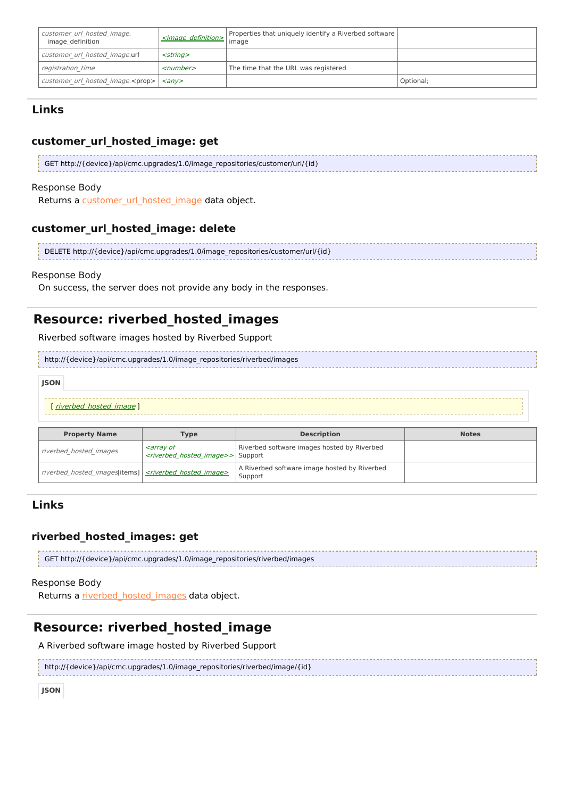| customer url hosted image.<br>image definition | <image definition=""/>         | Properties that uniquely identify a Riverbed software  <br>image |           |
|------------------------------------------------|--------------------------------|------------------------------------------------------------------|-----------|
| customer url hosted image.url                  | $<$ strina $>$                 |                                                                  |           |
| registration time                              | $<$ number $>$                 | The time that the URL was registered                             |           |
| customer url hosted image. <prop></prop>       | $\langle \textit{anv} \rangle$ |                                                                  | Optional; |

## **customer\_url\_hosted\_image: get**

| GET http://{device}/api/cmc.upgrades/1.0/image repositories/customer/url/{id} |  |
|-------------------------------------------------------------------------------|--|
|                                                                               |  |

#### Response Body

Returns a [customer\\_url\\_hosted\\_image](http://support.riverbed.com/apis/cmc.upgrades/1.0#/resources/customer_url_hosted_image) data object.

## **customer\_url\_hosted\_image: delete**

| DELETE http://{device}/api/cmc.upgrades/1.0/image repositories/customer/url/{id} |  |
|----------------------------------------------------------------------------------|--|
|                                                                                  |  |

### Response Body

On success, the server does not provide any body in the responses.

# **Resource: riverbed\_hosted\_images**

Riverbed software images hosted by Riverbed Support

http://{device}/api/cmc.upgrades/1.0/image\_repositories/riverbed/images

| <b>JSON</b> |                          |  |
|-------------|--------------------------|--|
|             | [ riverbed_hosted_image] |  |

| <b>Property Name</b><br>Type                               |                                                                                                          | <b>Description</b>                                      | <b>Notes</b> |
|------------------------------------------------------------|----------------------------------------------------------------------------------------------------------|---------------------------------------------------------|--------------|
| riverbed hosted images                                     | <i><b><array b="" of<=""></array></b></i><br><i><riverbed hosted="" image="">&gt;</riverbed></i> Support | Riverbed software images hosted by Riverbed             |              |
| riverbed hosted images [items] < < stiverbed hosted image> |                                                                                                          | A Riverbed software image hosted by Riverbed<br>Support |              |

## **Links**

## **riverbed\_hosted\_images: get**

| GET http://{device}/api/cmc.upgrades/1.0/image repositories/riverbed/images |  |
|-----------------------------------------------------------------------------|--|
|                                                                             |  |

#### Response Body

Returns a [riverbed\\_hosted\\_images](http://support.riverbed.com/apis/cmc.upgrades/1.0#/resources/riverbed_hosted_images) data object.

# **Resource: riverbed\_hosted\_image**

A Riverbed software image hosted by Riverbed Support

http://{device}/api/cmc.upgrades/1.0/image\_repositories/riverbed/image/{id}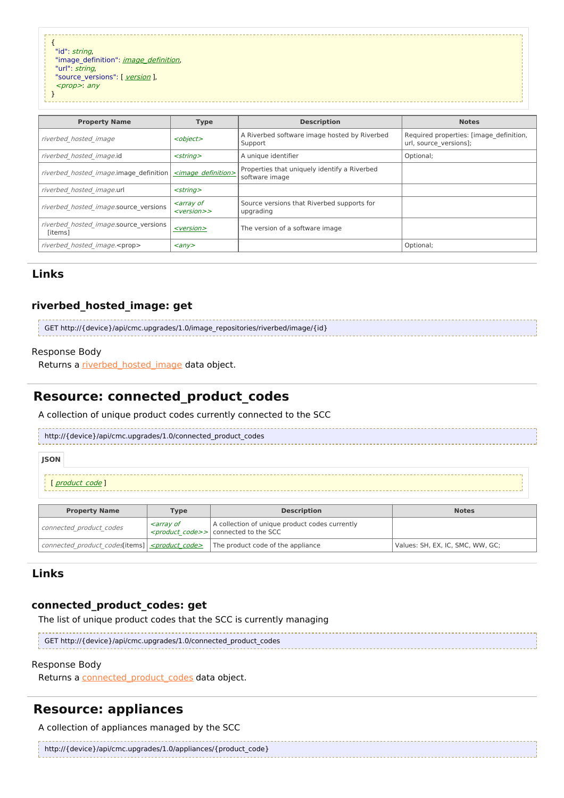{ "id": string, "[image\\_definition](http://support.riverbed.com/apis/cmc.upgrades/1.0#/types/image_definition)": *image\_definition*, "url": string, "source\_[version](http://support.riverbed.com/apis/cmc.upgrades/1.0#/types/version)s": [ version ], <prop>: any

**Property Name Type Description Notes** riverbed hosted image  $\vert$  <object> A Riverbed software image hosted by Riverbed Support Required properties: [image\_definition, url, source\_versions]; riverbed hosted image.id  $\left| \text{ A unique identifier  $\left| \text{0ptional} \right|$$ riverbed hosted image.image definition  $|$  <image definition> Properties that uniquely identify a Riverbed software image riverbed\_hosted\_image.url <string> riverbed hosted image.source versions  $\left| \begin{array}{c} \text{~carray of} \\ \text{~corresponding} \end{array} \right|$ <version>> Source versions that Riverbed supports for upgrading riverbed hosted image.source versions [items] [<version>](http://support.riverbed.com/apis/cmc.upgrades/1.0#/types/version) The version of <sup>a</sup> software image riverbed\_hosted\_image.<prop>  $\vert$  <any>  $\vert$  =  $\vert$  =  $\vert$  =  $\vert$  =  $\vert$  =  $\vert$  =  $\vert$  =  $\vert$  =  $\vert$  =  $\vert$  =  $\vert$  =  $\vert$  =  $\vert$  =  $\vert$  =  $\vert$  =  $\vert$  =  $\vert$  =  $\vert$  =  $\vert$  =  $\vert$  =  $\vert$  =  $\vert$  =  $\vert$  =  $\vert$  =  $\vert$  =  $\vert$  =

## **Links**

}

## **riverbed\_hosted\_image: get**

| GET http://{device}/api/cmc.upgrades/1.0/image_repositories/riverbed/image/{id} |  |
|---------------------------------------------------------------------------------|--|
|                                                                                 |  |

#### Response Body

Returns a riverbed hosted image data object.

## **Resource: connected\_product\_codes**

A collection of unique product codes currently connected to the SCC

http://{device}/api/cmc.upgrades/1.0/connected\_product\_codes

[ product code ]

| <b>Property Name</b>                                       | <b>Type</b>                               | <b>Description</b>                                                                                            | <b>Notes</b>                     |
|------------------------------------------------------------|-------------------------------------------|---------------------------------------------------------------------------------------------------------------|----------------------------------|
| connected product codes                                    | <i><b><array b="" of<=""></array></b></i> | A collection of unique product codes currently<br><i><product code="">&gt;</product></i> connected to the SCC |                                  |
| connected product codes[items] <product code=""></product> |                                           | The product code of the appliance                                                                             | Values: SH, EX, IC, SMC, WW, GC; |

## **Links**

**JSON**

## **connected\_product\_codes: get**

The list of unique product codes that the SCC is currently managing

GET http://{device}/api/cmc.upgrades/1.0/connected\_product\_codes

#### Response Body

Returns a connected product codes data object.

# **Resource: appliances**

A collection of appliances managed by the SCC

| http://{device}/api/cmc.upgrades/1.0/appliances/{product_code} |  |
|----------------------------------------------------------------|--|
|                                                                |  |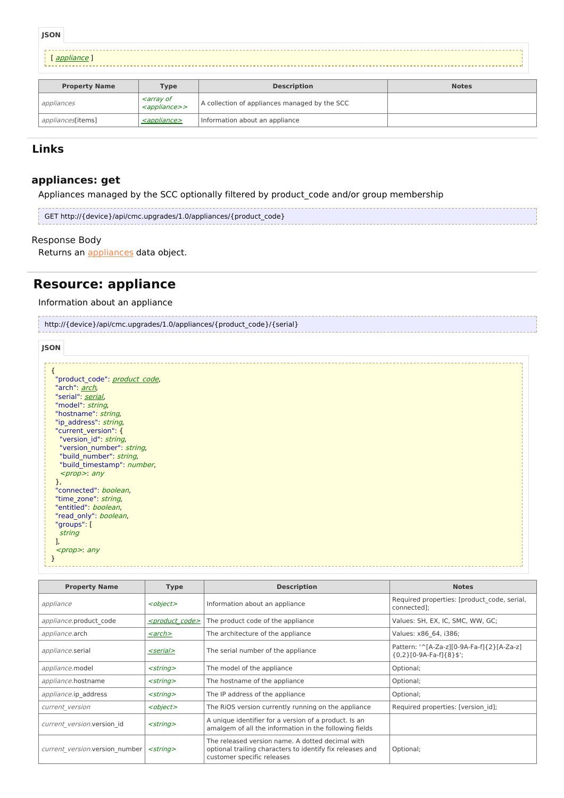**JSON**

```
appliance ]
```

| <b>Property Name</b> | <b>Type</b>                                                              | <b>Description</b>                            | <b>Notes</b> |
|----------------------|--------------------------------------------------------------------------|-----------------------------------------------|--------------|
| appliances           | <i><b><array b="" of<=""></array></b></i><br><appliance>&gt;</appliance> | A collection of appliances managed by the SCC |              |
| appliances[items]    | <appliance></appliance>                                                  | Information about an appliance                |              |

## **Links**

## **appliances: get**

Appliances managed by the SCC optionally filtered by product\_code and/or group membership

| GET http://{device}/api/cmc.upgrades/1.0/appliances/{product_code} |  |
|--------------------------------------------------------------------|--|
|                                                                    |  |

## Response Body

Returns an **[appliances](http://support.riverbed.com/apis/cmc.upgrades/1.0#/resources/appliances)** data object.

# **Resource: appliance**

### Information about an appliance

| http://{device}/api/cmc.upgrades/1.0/appliances/{product code}/{serial} |  |
|-------------------------------------------------------------------------|--|
|                                                                         |  |

| "product code": product code, |  |
|-------------------------------|--|
| "arch": <i>arch</i> ,         |  |
| "serial": serial,             |  |
| "model": string,              |  |
| "hostname": string,           |  |
| "ip address": string,         |  |
| "current version": {          |  |
| "version id": string,         |  |
| "version number": string,     |  |
| "build number": string,       |  |
| "build timestamp": number,    |  |
| $<$ prop $>$ : any            |  |
|                               |  |
| },                            |  |
| "connected": boolean,         |  |
| "time_zone": string,          |  |
| "entitled": boolean,          |  |
| "read only": boolean,         |  |
| "groups": [                   |  |
| string                        |  |
|                               |  |
| $<$ prop>: any                |  |
|                               |  |
|                               |  |

| <b>Property Name</b>           | <b>Type</b>                 | <b>Description</b>                                                                                                                          | <b>Notes</b>                                                         |
|--------------------------------|-----------------------------|---------------------------------------------------------------------------------------------------------------------------------------------|----------------------------------------------------------------------|
| appliance                      | <object></object>           | Information about an appliance                                                                                                              | Required properties: [product code, serial,<br>connected]:           |
| appliance.product code         | <product code=""></product> | The product code of the appliance                                                                                                           | Values: SH, EX, IC, SMC, WW, GC;                                     |
| <i>appliance.arch</i>          | <u><arch></arch></u>        | The architecture of the appliance                                                                                                           | Values: x86 64, i386;                                                |
| appliance.serial               | <serial></serial>           | The serial number of the appliance                                                                                                          | Pattern: '^[A-Za-z][0-9A-Fa-f]{2}[A-Za-z]<br>${0,2}[0.9A-Fa-f]{8}$ ; |
| appliance.model                | $<$ string $>$              | The model of the appliance                                                                                                                  | Optional;                                                            |
| appliance.hostname             | $<$ string $>$              | The hostname of the appliance                                                                                                               | Optional;                                                            |
| appliance.ip address           | $<$ string $>$              | The IP address of the appliance                                                                                                             | Optional;                                                            |
| current version                | <object></object>           | The RIOS version currently running on the appliance                                                                                         | Required properties: [version id];                                   |
| current version.version id     | $<$ string $>$              | A unique identifier for a version of a product. Is an<br>amalgem of all the information in the following fields                             |                                                                      |
| current version.version number | $<$ string $>$              | The released version name. A dotted decimal with<br>optional trailing characters to identify fix releases and<br>customer specific releases | Optional;                                                            |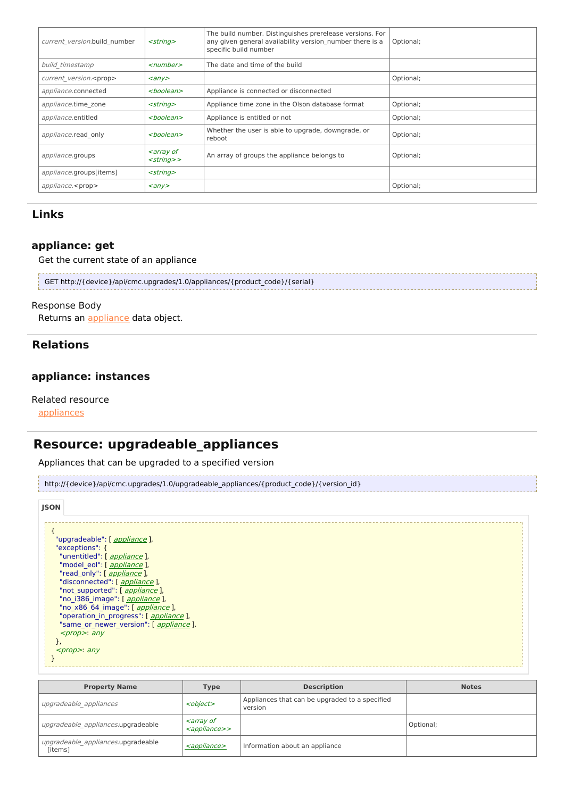| current version.build number                | $<$ string $>$                                              | The build number. Distinguishes prerelease versions. For<br>any given general availability version number there is a<br>specific build number | Optional; |
|---------------------------------------------|-------------------------------------------------------------|-----------------------------------------------------------------------------------------------------------------------------------------------|-----------|
| build timestamp                             | $\le$ number $>$                                            | The date and time of the build                                                                                                                |           |
| current version. <prop></prop>              | $\langle \rangle$                                           |                                                                                                                                               | Optional; |
| appliance.connected                         | <boolean></boolean>                                         | Appliance is connected or disconnected                                                                                                        |           |
| $<$ string $>$<br>appliance.time zone       |                                                             | Appliance time zone in the Olson database format                                                                                              | Optional; |
| <boolean><br/>appliance.entitled</boolean>  |                                                             | Appliance is entitled or not                                                                                                                  | Optional; |
| <boolean><br/>appliance.read only</boolean> |                                                             | Whether the user is able to upgrade, downgrade, or<br>reboot                                                                                  | Optional; |
| appliance.groups                            | <i><b><array b="" of<=""></array></b></i><br>$<$ string $>$ | An array of groups the appliance belongs to                                                                                                   | Optional; |
| appliance.groups[items]                     | $<$ string $>$                                              |                                                                                                                                               |           |
| appliance. <prop></prop>                    | $\langle \rangle$                                           |                                                                                                                                               | Optional; |

## **appliance: get**

Get the current state of an appliance

| GET http://{device}/api/cmc.upgrades/1.0/appliances/{product_code}/{serial} |  |
|-----------------------------------------------------------------------------|--|
|                                                                             |  |

### Response Body

Returns an **[appliance](http://support.riverbed.com/apis/cmc.upgrades/1.0#/resources/appliance)** data object.

## **Relations**

## **appliance: instances**

Related resource

[appliances](http://support.riverbed.com/apis/cmc.upgrades/1.0#/resources/appliances)

# **Resource: upgradeable\_appliances**

Appliances that can be upgraded to a specified version



| <b>JSON</b>                                    |  |  |  |
|------------------------------------------------|--|--|--|
|                                                |  |  |  |
|                                                |  |  |  |
| "upgradeable": [ appliance ],                  |  |  |  |
| "exceptions": {                                |  |  |  |
| "unentitled": [ appliance ],                   |  |  |  |
| "model eol": [ appliance ],                    |  |  |  |
| "read_only": [ appliance ],                    |  |  |  |
| "disconnected": [ appliance ],                 |  |  |  |
| "not supported": [ appliance ],                |  |  |  |
| "no i386 image": [ appliance ],                |  |  |  |
| "no x86 64 image": [ <i>appliance</i> ],       |  |  |  |
| "operation in progress": [ <i>appliance</i> ], |  |  |  |
| "same or newer version": [ appliance ],        |  |  |  |
| $<$ prop>: any                                 |  |  |  |
| r,                                             |  |  |  |
| $<$ prop>: any                                 |  |  |  |
|                                                |  |  |  |
|                                                |  |  |  |

| <b>Property Name</b>                          | <b>Type</b>                                                              | <b>Description</b>                                        | <b>Notes</b> |
|-----------------------------------------------|--------------------------------------------------------------------------|-----------------------------------------------------------|--------------|
| upgradeable appliances                        | <object></object>                                                        | Appliances that can be upgraded to a specified<br>version |              |
| upgradeable appliances.upgradeable            | <i><b><array b="" of<=""></array></b></i><br><appliance>&gt;</appliance> |                                                           | Optional;    |
| upgradeable appliances.upgradeable<br>[items] | <appliance></appliance>                                                  | Information about an appliance                            |              |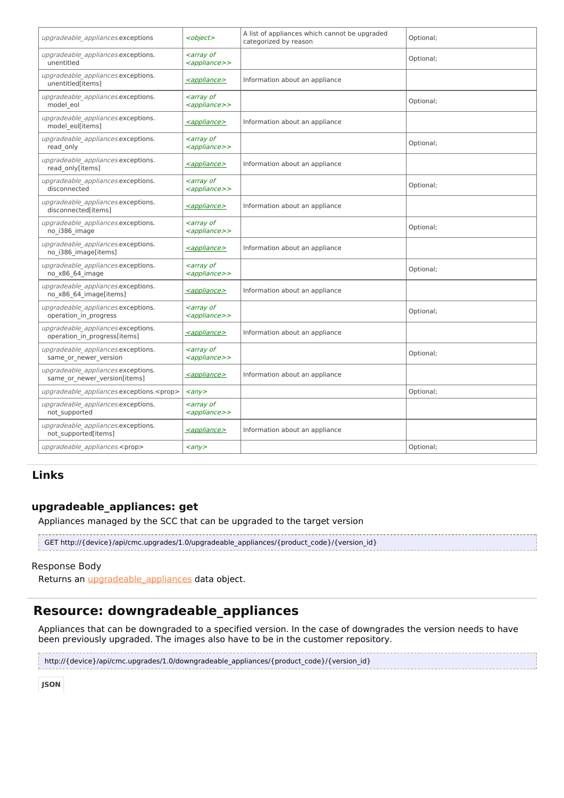| upgradeable appliances.exceptions                                  | <object></object>                                                        | A list of appliances which cannot be upgraded<br>categorized by reason | Optional; |
|--------------------------------------------------------------------|--------------------------------------------------------------------------|------------------------------------------------------------------------|-----------|
| upgradeable appliances.exceptions.<br>unentitled                   | <i><b><array b="" of<=""></array></b></i><br><appliance>&gt;</appliance> |                                                                        | Optional; |
| upgradeable appliances.exceptions.<br>unentitled[items]            | <appliance></appliance>                                                  | Information about an appliance                                         |           |
| upgradeable appliances.exceptions.<br>model eol                    | <array of<br=""><appliance>&gt;</appliance></array>                      |                                                                        | Optional; |
| upgradeable appliances.exceptions.<br>model_eol[items]             | <appliance></appliance>                                                  | Information about an appliance                                         |           |
| upgradeable appliances.exceptions.<br>read only                    | <i><b><array b="" of<=""></array></b></i><br><appliance>&gt;</appliance> |                                                                        | Optional; |
| upgradeable appliances.exceptions.<br>read only[items]             | <appliance></appliance>                                                  | Information about an appliance                                         |           |
| upgradeable appliances.exceptions.<br>disconnected                 | <i><b><array b="" of<=""></array></b></i><br><appliance>&gt;</appliance> |                                                                        | Optional; |
| upgradeable appliances.exceptions.<br>disconnected[items]          | <appliance></appliance>                                                  | Information about an appliance                                         |           |
| upgradeable appliances.exceptions.<br>no i386 image                | <i><b><array b="" of<=""></array></b></i><br><appliance>&gt;</appliance> |                                                                        | Optional; |
| upgradeable appliances.exceptions.<br>no i386 image[items]         | <appliance></appliance>                                                  | Information about an appliance                                         |           |
| upgradeable appliances.exceptions.<br>no_x86_64_image              | <i><b><array b="" of<=""></array></b></i><br><appliance>&gt;</appliance> |                                                                        | Optional; |
| upgradeable_appliances.exceptions.<br>no x86 64 image[items]       | <i><appliance></appliance></i>                                           | Information about an appliance                                         |           |
| upgradeable appliances.exceptions.<br>operation_in_progress        | <i><b><array b="" of<=""></array></b></i><br><appliance>&gt;</appliance> |                                                                        | Optional; |
| upgradeable appliances.exceptions.<br>operation in progress[items] | <appliance></appliance>                                                  | Information about an appliance                                         |           |
| upgradeable appliances.exceptions.<br>same or newer version        | <array of<br=""><appliance>&gt;</appliance></array>                      |                                                                        | Optional; |
| upgradeable appliances.exceptions.<br>same or newer version[items] | <appliance></appliance>                                                  | Information about an appliance                                         |           |
| upgradeable appliances.exceptions. <prop></prop>                   | $\langle \rangle$                                                        |                                                                        | Optional; |
| upgradeable appliances.exceptions.<br>not supported                | <i><b><array b="" of<=""></array></b></i><br><appliance>&gt;</appliance> |                                                                        |           |
| upgradeable appliances.exceptions.<br>not supported[items]         | <appliance></appliance>                                                  | Information about an appliance                                         |           |
| upgradeable appliances. <prop></prop>                              | $\langle \rangle$                                                        |                                                                        | Optional; |

## **upgradeable\_appliances: get**

Appliances managed by the SCC that can be upgraded to the target version

GET http://{device}/api/cmc.upgrades/1.0/upgradeable\_appliances/{product\_code}/{version\_id}

#### Response Body

Returns an *upgradeable* appliances data object.

# **Resource: downgradeable\_appliances**

Appliances that can be downgraded to a specified version. In the case of downgrades the version needs to have been previously upgraded. The images also have to be in the customer repository.

http://{device}/api/cmc.upgrades/1.0/downgradeable\_appliances/{product\_code}/{version\_id}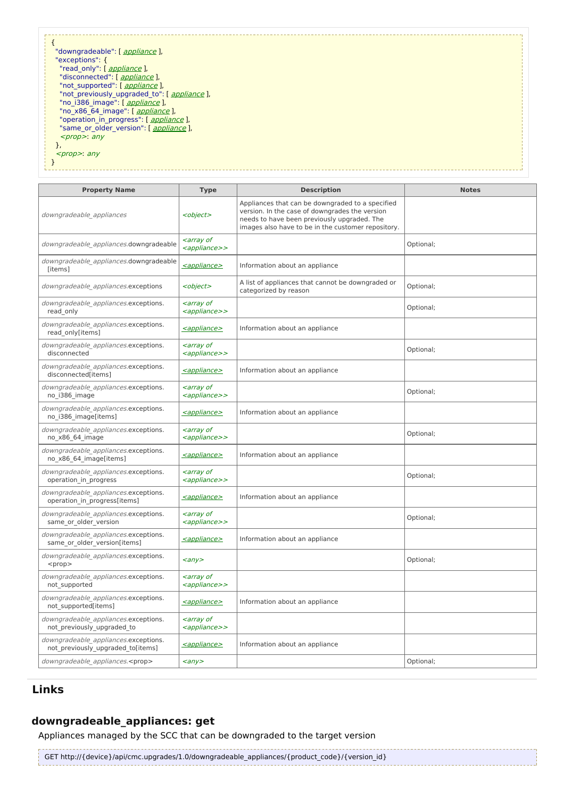}

**Property Name Type Description Notes** downgradeable\_appliances and all <object> Appliances that can be downgraded to a specified version. In the case of downgrades the version needs to have been previously upgraded. The images also have to be in the customer repository. downgradeable\_appliances.downgradeable  $\bigg|$  <array of <appliance>> Optional; downgradeable\_appliances.downgradeable owngradeable\_appliances.downgradeable  $\vert$  <u>[<appliance>](http://support.riverbed.com/apis/cmc.upgrades/1.0#/resources/appliance) also information about an appliance</u>  $downgradeable$  appliances.exceptions  $\vert$  <object> A list of appliances that cannot be downgraded or A list of appliances that cannot be downgraded or portional;<br>categorized by reason downgradeable\_appliances.exceptions. read\_only <array of <appliance>> Optional; downgradeable\_appliances.exceptions.<br>read\_only[items] sappliance> | Information about an appliance downgradeable\_appliances.exceptions. disconnected <array of <appliance>> Optional; downgradeable\_appliances.exceptions.<br>disconnected[items] [<appliance>](http://support.riverbed.com/apis/cmc.upgrades/1.0#/resources/appliance) | Information about an appliance downgradeable\_appliances.exceptions. no\_i386\_image <array of <appliance>> Optional; downgradeable\_appliances.exceptions. owngradeable\_appliances.exceptions.<br>no\_i386\_image[items]  $\left|\frac{}{=} \right|$  $\left|\frac{}{=} \right|$  $\left|\frac{}{=} \right|$  Information about an appliance downgradeable\_appliances.exceptions. no\_x86\_64\_image <array of <appliance>> Optional; downgradeable\_appliances.exceptions. owngradeable\_appliances.exceptions.<br>no\_x86\_64\_image[items]  $\left| \frac{\text{caplin}}{\text{suppliance}\right|}$  Information about an appliance downgradeable\_appliances.exceptions. operation\_in\_progress <array of <appliance>> Optional; downgradeable\_appliances.exceptions. owngradeable\_appliances.exceptions.<br>
operation in progress[items]  $\left| \frac{\text{capliance}\geq 0}{\text{information about an appliance}} \right|$ downgradeable\_appliances.exceptions. same\_or\_older\_version <array of <appliance>> Optional; downgradeable\_appliances.exceptions. omigradeable\_appliances.exceptions.<br>
same\_or\_older\_version[items]  $\left| \frac{\text{capliance}\geq 0}{\text{suppliance}} \right|$  Information about an appliance downgradeable\_appliances.exceptions.  $<$ prop $>$ <any>  $\vert$  Optional; downgradeable\_appliances.exceptions. not\_supported <array of <appliance>> downgradeable\_appliances.exceptions. omigradeable\_appliances.exceptions.<br>not\_supported[items]  $\left|\frac{\text{capliance}\geq\text{infformation about an appliance}}{1-\text{suppotential}}\right|$ downgradeable\_appliances.exceptions. not\_previously\_upgraded\_to <array of <appliance>> downgradeable\_appliances.exceptions. not\_previously\_upgraded\_to[items]  $\left| \frac{\text{capliance}\right\rangle}{\text{information about an appliance}}$ downgradeable\_appliances.<prop>  $\vert$  <any>  $\vert$  Optional;

## **Links**

## **downgradeable\_appliances: get**

Appliances managed by the SCC that can be downgraded to the target version

GET http://{device}/api/cmc.upgrades/1.0/downgradeable\_appliances/{product\_code}/{version\_id}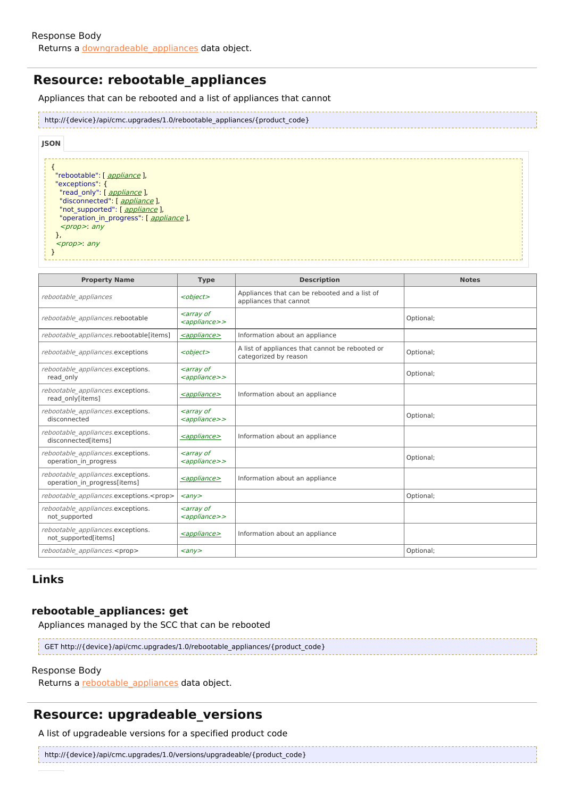# **Resource: rebootable\_appliances**

Appliances that can be rebooted and a list of appliances that cannot

| http://{device}/api/cmc.upgrades/1.0/rebootable_appliances/{product_code} |
|---------------------------------------------------------------------------|
|                                                                           |

| <b>JSON</b>                             |  |
|-----------------------------------------|--|
|                                         |  |
|                                         |  |
| "rebootable": [ appliance ],            |  |
| "exceptions": {                         |  |
| "read only": [ appliance ],             |  |
| "disconnected": [ appliance ],          |  |
| "not supported": [ <i>appliance</i> ],  |  |
| "operation in progress": [ appliance ], |  |
| $<$ prop>: any                          |  |
| r,                                      |  |
| $<$ prop>: any                          |  |
|                                         |  |
|                                         |  |

| <b>Property Name</b>                                              | <b>Type</b>                                                              | <b>Description</b>                                                       | <b>Notes</b> |
|-------------------------------------------------------------------|--------------------------------------------------------------------------|--------------------------------------------------------------------------|--------------|
| rebootable appliances                                             | <object></object>                                                        | Appliances that can be rebooted and a list of<br>appliances that cannot  |              |
| rebootable appliances.rebootable                                  | <array of<br=""><appliance>&gt;</appliance></array>                      |                                                                          | Optional;    |
| rebootable appliances.rebootable[items]                           | <appliance></appliance>                                                  | Information about an appliance                                           |              |
| rebootable appliances.exceptions                                  | <object></object>                                                        | A list of appliances that cannot be rebooted or<br>categorized by reason | Optional;    |
| rebootable appliances.exceptions.<br>read only                    | <array of<br=""><appliance>&gt;</appliance></array>                      |                                                                          | Optional;    |
| rebootable appliances.exceptions.<br>read only[items]             | <appliance></appliance>                                                  | Information about an appliance                                           |              |
| rebootable appliances.exceptions.<br>disconnected                 | <array of<br=""><appliance>&gt;</appliance></array>                      |                                                                          | Optional;    |
| rebootable appliances.exceptions.<br>disconnected[items]          | <appliance></appliance>                                                  | Information about an appliance                                           |              |
| rebootable appliances.exceptions.<br>operation in progress        | <i><b><array b="" of<=""></array></b></i><br><appliance>&gt;</appliance> |                                                                          | Optional;    |
| rebootable appliances.exceptions.<br>operation in progress[items] | <appliance></appliance>                                                  | Information about an appliance                                           |              |
| rebootable appliances.exceptions. <prop></prop>                   | $\langle \rangle$                                                        |                                                                          | Optional;    |
| rebootable appliances.exceptions.<br>not supported                | <array of<br=""><appliance>&gt;</appliance></array>                      |                                                                          |              |
| rebootable appliances.exceptions.<br>not supported[items]         | <appliance></appliance>                                                  | Information about an appliance                                           |              |
| rebootable appliances. <prop></prop>                              | $\langle \rangle$                                                        |                                                                          | Optional;    |

## **Links**

## **rebootable\_appliances: get**

Appliances managed by the SCC that can be rebooted

GET http://{device}/api/cmc.upgrades/1.0/rebootable\_appliances/{product\_code}

#### Response Body

Returns a rebootable appliances data object.

## **Resource: upgradeable\_versions**

A list of upgradeable versions for a specified product code

http://{device}/api/cmc.upgrades/1.0/versions/upgradeable/{product\_code}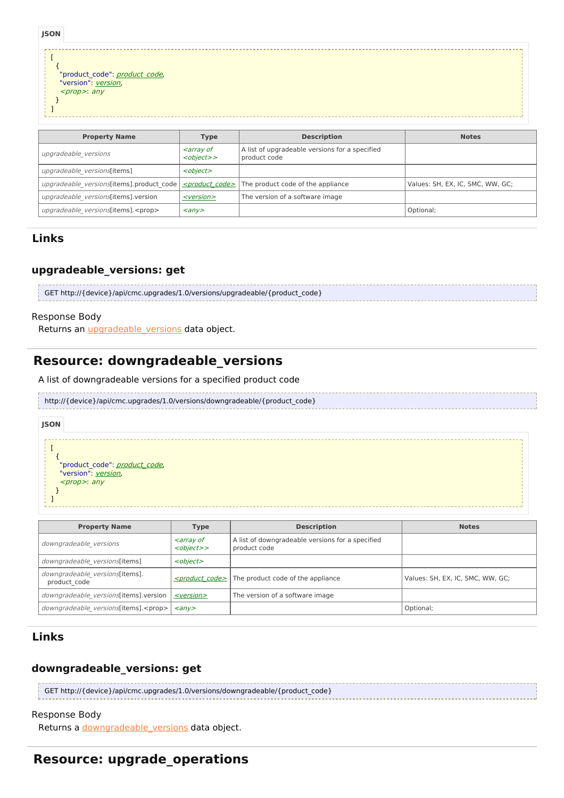| <b>JSON</b> |                                                                                                                      |  |  |
|-------------|----------------------------------------------------------------------------------------------------------------------|--|--|
|             |                                                                                                                      |  |  |
|             | "product_code": <u>product_code</u> ,<br>"version": <u>version</u> ,<br><i><prop></prop></i> : any                   |  |  |
|             |                                                                                                                      |  |  |
|             |                                                                                                                      |  |  |
|             | <b>STATE OF STATE OF STATE OF STATE OF STATE OF STATE OF STATE OF STATE OF STATE OF STATE OF STATE OF STATE OF S</b> |  |  |

| <b>Property Name</b>                       | <b>Type</b>                                                        | <b>Description</b>                                             | <b>Notes</b>                     |
|--------------------------------------------|--------------------------------------------------------------------|----------------------------------------------------------------|----------------------------------|
| upgradeable versions                       | <i><b><array b="" of<=""></array></b></i><br><object>&gt;</object> | A list of upgradeable versions for a specified<br>product code |                                  |
| upgradeable versions[items]                | <object></object>                                                  |                                                                |                                  |
| upgradeable versions[items].product code   | <product code=""></product>                                        | The product code of the appliance                              | Values: SH, EX, IC, SMC, WW, GC; |
| upgradeable versions[items].version        | $<$ version $>$                                                    | The version of a software image                                |                                  |
| upgradeable versions(items). <prop></prop> | $\langle \rangle$                                                  |                                                                | Optional;                        |

## **upgradeable\_versions: get**

| GET http://{device}/api/cmc.upgrades/1.0/versions/upgradeable/{product code} |  |
|------------------------------------------------------------------------------|--|
|                                                                              |  |
|                                                                              |  |

#### Response Body

Returns an *[upgradeable\\_versions](http://support.riverbed.com/apis/cmc.upgrades/1.0#/resources/upgradeable_versions)* data object.

## **Resource: downgradeable\_versions**

A list of downgradeable versions for a specified product code

#### http://{device}/api/cmc.upgrades/1.0/versions/downgradeable/{product\_code}

### $\lceil$ { "[product](http://support.riverbed.com/apis/cmc.upgrades/1.0#/types/product_code)\_[code](http://support.riverbed.com/apis/cmc.upgrades/1.0#/types/product_code)": product\_code, "[version](http://support.riverbed.com/apis/cmc.upgrades/1.0#/types/version)": version, <prop>: any **JSON**

}

]

| <b>Property Name</b>                           | <b>Type</b>                                                        | <b>Description</b>                                               | <b>Notes</b>                     |
|------------------------------------------------|--------------------------------------------------------------------|------------------------------------------------------------------|----------------------------------|
| downgradeable versions                         | <i><b><array b="" of<=""></array></b></i><br><object>&gt;</object> | A list of downgradeable versions for a specified<br>product code |                                  |
| downgradeable versions[items]                  | <object></object>                                                  |                                                                  |                                  |
| downgradeable versions[items].<br>product code |                                                                    | $\le$ product code> The product code of the appliance            | Values: SH, EX, IC, SMC, WW, GC; |
| downgradeable versions[items].version          | <version></version>                                                | The version of a software image                                  |                                  |
| downgradeable versions(items). <prop></prop>   | $\langle$ any $\rangle$                                            |                                                                  | Optional;                        |

## **Links**

## **downgradeable\_versions: get**

| GET http://{device}/api/cmc.upgrades/1.0/versions/downgradeable/{product code} |
|--------------------------------------------------------------------------------|
|                                                                                |
|                                                                                |

### Response Body

Returns a [downgradeable\\_versions](http://support.riverbed.com/apis/cmc.upgrades/1.0#/resources/downgradeable_versions) data object.

# **Resource: upgrade\_operations**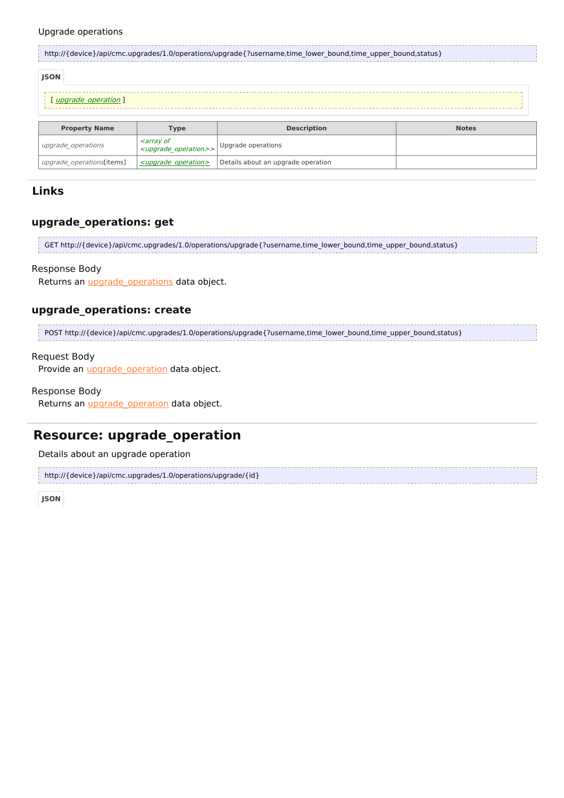#### Upgrade operations

| http://{device}/api/cmc.upgrades/1.0/operations/upgrade{?username,time lower bound,time upper bound,status} |                                                                                   |                    |              |  |
|-------------------------------------------------------------------------------------------------------------|-----------------------------------------------------------------------------------|--------------------|--------------|--|
| <b>JSON</b>                                                                                                 |                                                                                   |                    |              |  |
| upgrade operation 1                                                                                         |                                                                                   |                    |              |  |
|                                                                                                             |                                                                                   |                    |              |  |
| <b>Property Name</b>                                                                                        | <b>Type</b>                                                                       | <b>Description</b> | <b>Notes</b> |  |
| upgrade operations                                                                                          | <i><b><array b="" of<=""></array></b></i><br><upgrade operation="">&gt;</upgrade> | Upgrade operations |              |  |

## **Links**

### **upgrade\_operations: get**

GET http://{device}/api/cmc.upgrades/1.0/operations/upgrade{?username,time\_lower\_bound,time\_upper\_bound,status}

#### Response Body

Returns an *[upgrade\\_operations](http://support.riverbed.com/apis/cmc.upgrades/1.0#/resources/upgrade_operations)* data object.

upgrade\_operations[items]  $\left| \frac{\text{supgrade\_operation>}}{\text{Definition}} \right|$  Details about an upgrade operation

## **upgrade\_operations: create**

POST http://{device}/api/cmc.upgrades/1.0/operations/upgrade{?username,time\_lower\_bound,time\_upper\_bound,status}

#### Request Body

Provide an *upgrade* operation data object.

#### Response Body

Returns an *[upgrade\\_operation](http://support.riverbed.com/apis/cmc.upgrades/1.0#/resources/upgrade_operation)* data object.

# **Resource: upgrade\_operation**

Details about an upgrade operation

```
http://{device}/api/cmc.upgrades/1.0/operations/upgrade/{id}
```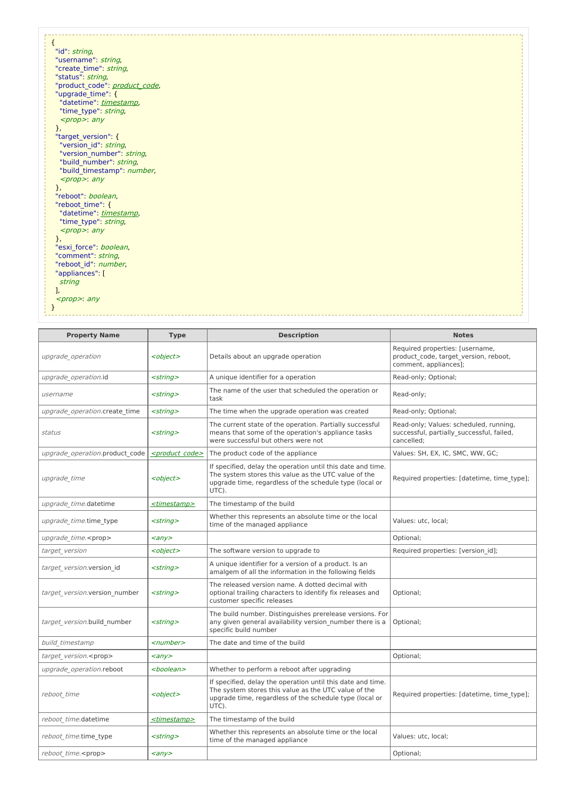| ί<br>"id": <i>string</i> ,    |
|-------------------------------|
| "username": string,           |
|                               |
| "create time": string,        |
| "status": string,             |
| "product_code": product_code, |
| "upgrade_time": {             |
| "datetime": timestamp,        |
| "time_type": string,          |
| $<$ prop>: any                |
| },                            |
| "target version": {           |
| "version id": string,         |
| "version_number": string,     |
| "build number": string,       |
| "build_timestamp": number,    |
| $<$ prop>: any                |
| },                            |
| "reboot": boolean,            |
| "reboot_time": {              |
| "datetime": timestamp,        |
| "time_type": string,          |
| $<$ prop>: any                |
| },                            |
| "esxi_force": boolean,        |
| "comment": string,            |
| "reboot_id": number,          |
| "appliances": [               |
| string                        |
| ı,                            |
| <prop>: any</prop>            |
|                               |
|                               |
|                               |

| <b>Property Name</b>           | <b>Type</b>                 | <b>Description</b>                                                                                                                                                                      | <b>Notes</b>                                                                                      |
|--------------------------------|-----------------------------|-----------------------------------------------------------------------------------------------------------------------------------------------------------------------------------------|---------------------------------------------------------------------------------------------------|
| upgrade operation              | <object></object>           | Details about an upgrade operation                                                                                                                                                      | Required properties: [username,<br>product code, target version, reboot,<br>comment, appliances]; |
| upgrade_operation.id           | $<$ string $>$              | A unique identifier for a operation                                                                                                                                                     | Read-only; Optional;                                                                              |
| username                       | <string></string>           | The name of the user that scheduled the operation or<br>task                                                                                                                            | Read-only;                                                                                        |
| upgrade operation.create time  | $<$ string $>$              | The time when the upgrade operation was created                                                                                                                                         | Read-only; Optional;                                                                              |
| status                         | $<$ string $>$              | The current state of the operation. Partially successful<br>means that some of the operation's appliance tasks<br>were successful but others were not                                   | Read-only; Values: scheduled, running,<br>successful, partially successful, failed,<br>cancelled: |
| upgrade operation.product code | <product code=""></product> | The product code of the appliance                                                                                                                                                       | Values: SH, EX, IC, SMC, WW, GC;                                                                  |
| upgrade time                   | <object></object>           | If specified, delay the operation until this date and time.<br>The system stores this value as the UTC value of the<br>upgrade time, regardless of the schedule type (local or<br>UTC). | Required properties: [datetime, time type];                                                       |
| upgrade time.datetime          | <timestamp></timestamp>     | The timestamp of the build                                                                                                                                                              |                                                                                                   |
| upgrade time.time type         | $<$ string $>$              | Whether this represents an absolute time or the local<br>time of the managed appliance                                                                                                  | Values: utc. local:                                                                               |
| upgrade_time. <prop></prop>    | $\langle \rangle$           |                                                                                                                                                                                         | Optional;                                                                                         |
| target version                 | <object></object>           | The software version to upgrade to                                                                                                                                                      | Required properties: [version id];                                                                |
| target version.version id      | <string></string>           | A unique identifier for a version of a product. Is an<br>amalgem of all the information in the following fields                                                                         |                                                                                                   |
| target version.version number  | $<$ string $>$              | The released version name. A dotted decimal with<br>optional trailing characters to identify fix releases and<br>customer specific releases                                             | Optional;                                                                                         |
| target version.build number    | $<$ string $>$              | The build number. Distinguishes prerelease versions. For<br>any given general availability version number there is a<br>specific build number                                           | Optional;                                                                                         |
| build timestamp                | <number></number>           | The date and time of the build                                                                                                                                                          |                                                                                                   |
| target version. <prop></prop>  | $\langle \rangle$           |                                                                                                                                                                                         | Optional;                                                                                         |
| upgrade operation.reboot       | <boolean></boolean>         | Whether to perform a reboot after upgrading                                                                                                                                             |                                                                                                   |
| reboot time                    | <object></object>           | If specified, delay the operation until this date and time.<br>The system stores this value as the UTC value of the<br>upgrade time, regardless of the schedule type (local or<br>UTC). | Required properties: [datetime, time type];                                                       |
| reboot time.datetime           | <timestamp></timestamp>     | The timestamp of the build                                                                                                                                                              |                                                                                                   |
| reboot time.time type          | <string></string>           | Whether this represents an absolute time or the local<br>time of the managed appliance                                                                                                  | Values: utc, local;                                                                               |
| reboot time. <prop></prop>     | $\langle \rangle$           |                                                                                                                                                                                         | Optional;                                                                                         |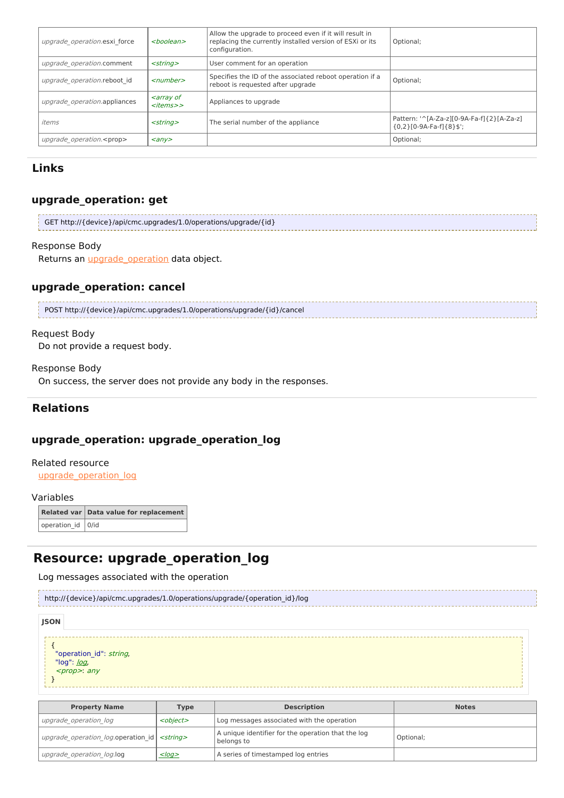| upgrade operation.esxi force     | <boolean></boolean>                                                 | Allow the upgrade to proceed even if it will result in<br>replacing the currently installed version of ESXi or its<br>configuration. | Optional;                                                                |
|----------------------------------|---------------------------------------------------------------------|--------------------------------------------------------------------------------------------------------------------------------------|--------------------------------------------------------------------------|
| upgrade operation.comment        | $<$ string $>$                                                      | User comment for an operation                                                                                                        |                                                                          |
| upgrade operation.reboot id      | $<$ number $>$                                                      | Specifies the ID of the associated reboot operation if a<br>reboot is requested after upgrade                                        | Optional;                                                                |
| upgrade operation.appliances     | <i><b><array b="" of<=""></array></b></i><br>< <i>items&gt;&gt;</i> | Appliances to upgrade                                                                                                                |                                                                          |
| items                            | $<$ strina $>$                                                      | The serial number of the appliance                                                                                                   | Pattern: '^[A-Za-z][0-9A-Fa-f]{2}[A-Za-z]<br>${0,2}$ [0-9A-Fa-f] ${8}$ ] |
| upgrade operation. <prop></prop> | $\langle \rangle$                                                   |                                                                                                                                      | Optional;                                                                |

## **upgrade\_operation: get**

```
GET http://{device}/api/cmc.upgrades/1.0/operations/upgrade/{id}
```
### Response Body

Returns an *[upgrade\\_operation](http://support.riverbed.com/apis/cmc.upgrades/1.0#/resources/upgrade_operation)* data object.

## **upgrade\_operation: cancel**

POST http://{device}/api/cmc.upgrades/1.0/operations/upgrade/{id}/cancel

#### Request Body

Do not provide a request body.

### Response Body

On success, the server does not provide any body in the responses.

## **Relations**

## **upgrade\_operation: upgrade\_operation\_log**

#### Related resource

[upgrade\\_operation\\_log](http://support.riverbed.com/apis/cmc.upgrades/1.0#/resources/upgrade_operation_log)

#### Variables

**Related var Data value for replacement** operation\_id 0/id

# **Resource: upgrade\_operation\_log**

Log messages associated with the operation

| http://{device}/api/cmc.upgrades/1.0/operations/upgrade/{operation_id}/log |  |  |  |  |  |
|----------------------------------------------------------------------------|--|--|--|--|--|
| <b>JSON</b>                                                                |  |  |  |  |  |
| "operation id": string,<br>"log": <u>/og</u> ,<br><prop>: any</prop>       |  |  |  |  |  |

| <b>Property Name</b>                                   | Type              | <b>Description</b>                                               | <b>Notes</b> |
|--------------------------------------------------------|-------------------|------------------------------------------------------------------|--------------|
| upgrade operation log                                  | <object></object> | Log messages associated with the operation                       |              |
| upgrade operation log.operation id   <string></string> |                   | A unique identifier for the operation that the log<br>belonas to | Optional;    |
| upgrade operation log.log                              | $<$ log $>$       | A series of timestamped log entries                              |              |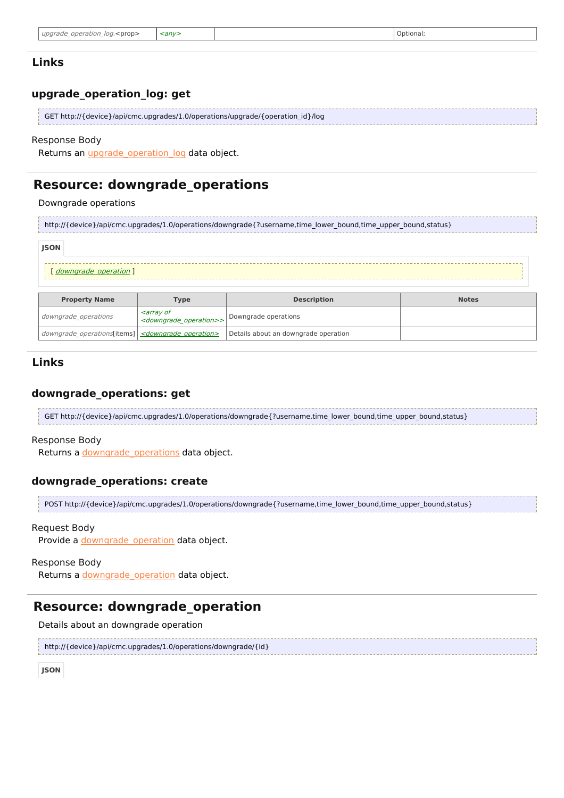| :anv><br>Optional:<br>unarade<br>loa<br>ation<br>oper<br>∠prop><br>$\overline{\phantom{a}}$<br>$\overline{\phantom{a}}$ |
|-------------------------------------------------------------------------------------------------------------------------|
|-------------------------------------------------------------------------------------------------------------------------|

### **upgrade\_operation\_log: get**

| GET http://{device}/api/cmc.upgrades/1.0/operations/upgrade/{operation_id}/log |
|--------------------------------------------------------------------------------|
|                                                                                |
|                                                                                |

## Response Body

Returns an *upgrade* operation log data object.

## **Resource: downgrade\_operations**

#### Downgrade operations

http://{device}/api/cmc.upgrades/1.0/operations/downgrade{?username,time\_lower\_bound,time\_upper\_bound,status}

#### **JSON**

```
downgradeoperation ]
```

| <b>Property Name</b>                                             | Type                                                                                  | <b>Description</b>                   | <b>Notes</b> |
|------------------------------------------------------------------|---------------------------------------------------------------------------------------|--------------------------------------|--------------|
| downgrade operations                                             | <i><b><arrav b="" of<=""></arrav></b></i><br><downgrade operation="">&gt;</downgrade> | Downgrade operations                 |              |
| downgrade operations[items] <downgrade operation=""></downgrade> |                                                                                       | Details about an downgrade operation |              |

### **Links**

### **downgrade\_operations: get**

```
GET http://{device}/api/cmc.upgrades/1.0/operations/downgrade{?username,time_lower_bound,time_upper_bound,status}
```
#### Response Body

Returns a [downgrade\\_operations](http://support.riverbed.com/apis/cmc.upgrades/1.0#/resources/downgrade_operations) data object.

### **downgrade\_operations: create**

```
POST http://{device}/api/cmc.upgrades/1.0/operations/downgrade{?username,time_lower_bound,time_upper_bound,status}
```
#### Request Body

Provide a [downgrade\\_operation](http://support.riverbed.com/apis/cmc.upgrades/1.0#/resources/downgrade_operation) data object.

### Response Body

Returns a downgrade operation data object.

## **Resource: downgrade\_operation**

Details about an downgrade operation

```
http://{device}/api/cmc.upgrades/1.0/operations/downgrade/{id}
```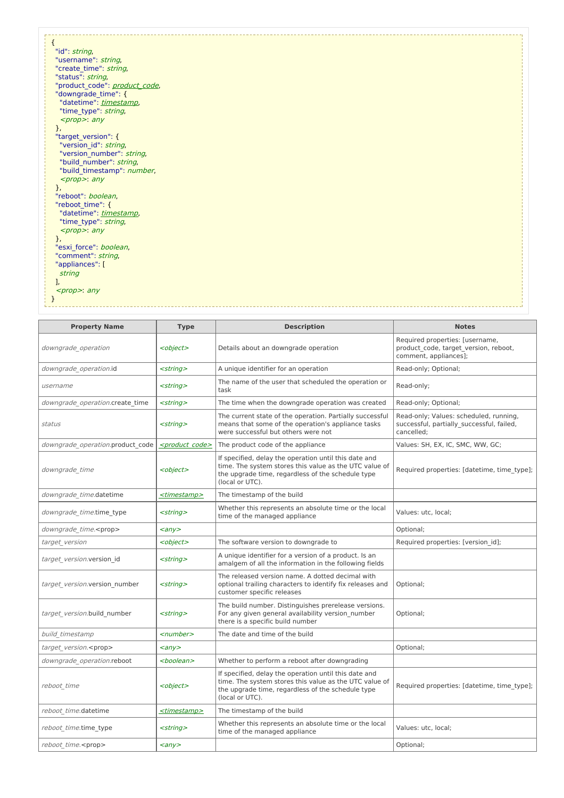| $\mathfrak{t}$                                       |
|------------------------------------------------------|
| "id": string,                                        |
| "username": string,                                  |
| "create_time": string,                               |
| "status": string,                                    |
| "product_code": product_code,                        |
| "downgrade_time": {                                  |
| "datetime": timestamp,                               |
| "time_type": string,                                 |
|                                                      |
| $<$ prop>: any                                       |
| },                                                   |
| "target_version": {                                  |
| "version_id": string,                                |
| "version_number": string,<br>"build_number": string, |
| "build_timestamp": number,                           |
|                                                      |
| $<$ prop>: any                                       |
| },<br>"reboot": boolean,                             |
|                                                      |
| "reboot time": {                                     |
| "datetime": timestamp,                               |
| "time_type": string,                                 |
| $<$ prop>: any                                       |
| },                                                   |
| "esxi_force": boolean,                               |
| "comment": string,                                   |
| "appliances": [                                      |
| string                                               |
|                                                      |
| <prop>: any</prop>                                   |
|                                                      |
|                                                      |

| <b>Property Name</b>             | <b>Type</b>                 | <b>Description</b>                                                                                                                                                                      | <b>Notes</b>                                                                                      |
|----------------------------------|-----------------------------|-----------------------------------------------------------------------------------------------------------------------------------------------------------------------------------------|---------------------------------------------------------------------------------------------------|
| downgrade operation              | <object></object>           | Details about an downgrade operation                                                                                                                                                    | Required properties: [username,<br>product code, target version, reboot,<br>comment, appliances]; |
| downgrade_operation.id           | <string></string>           | A unique identifier for an operation                                                                                                                                                    | Read-only; Optional;                                                                              |
| username                         | <string></string>           | The name of the user that scheduled the operation or<br>task                                                                                                                            | Read-only;                                                                                        |
| downgrade operation.create time  | <string></string>           | The time when the downgrade operation was created                                                                                                                                       | Read-only; Optional;                                                                              |
| status                           | <string></string>           | The current state of the operation. Partially successful<br>means that some of the operation's appliance tasks<br>were successful but others were not                                   | Read-only; Values: scheduled, running,<br>successful, partially successful, failed,<br>cancelled: |
| downgrade operation.product code | <product code=""></product> | The product code of the appliance                                                                                                                                                       | Values: SH, EX, IC, SMC, WW, GC;                                                                  |
| downgrade time                   | <object></object>           | If specified, delay the operation until this date and<br>time. The system stores this value as the UTC value of<br>the upgrade time, regardless of the schedule type<br>(local or UTC). | Required properties: [datetime, time type];                                                       |
| downgrade time.datetime          | <timestamp></timestamp>     | The timestamp of the build                                                                                                                                                              |                                                                                                   |
| downgrade time.time type         | <string></string>           | Whether this represents an absolute time or the local<br>time of the managed appliance                                                                                                  | Values: utc, local;                                                                               |
| downgrade_time. <prop></prop>    | $\langle \rangle$           |                                                                                                                                                                                         | Optional;                                                                                         |
| target version                   | <object></object>           | The software version to downgrade to                                                                                                                                                    | Required properties: [version id];                                                                |
| target version.version id        | <string></string>           | A unique identifier for a version of a product. Is an<br>amalgem of all the information in the following fields                                                                         |                                                                                                   |
| target version.version number    | <string></string>           | The released version name. A dotted decimal with<br>optional trailing characters to identify fix releases and<br>customer specific releases                                             | Optional;                                                                                         |
| target version.build number      | <string></string>           | The build number. Distinguishes prerelease versions.<br>For any given general availability version number<br>there is a specific build number                                           | Optional;                                                                                         |
| build timestamp                  | <number></number>           | The date and time of the build                                                                                                                                                          |                                                                                                   |
| target version. <prop></prop>    | $\langle \rangle$           |                                                                                                                                                                                         | Optional;                                                                                         |
| downgrade operation.reboot       | <boolean></boolean>         | Whether to perform a reboot after downgrading                                                                                                                                           |                                                                                                   |
| reboot time                      | <object></object>           | If specified, delay the operation until this date and<br>time. The system stores this value as the UTC value of<br>the upgrade time, regardless of the schedule type<br>(local or UTC). | Required properties: [datetime, time type];                                                       |
| reboot time.datetime             | <timestamp></timestamp>     | The timestamp of the build                                                                                                                                                              |                                                                                                   |
| reboot time.time type            | <string></string>           | Whether this represents an absolute time or the local<br>time of the managed appliance                                                                                                  | Values: utc, local;                                                                               |
| reboot time. <prop></prop>       | $\langle \rangle$           |                                                                                                                                                                                         | Optional;                                                                                         |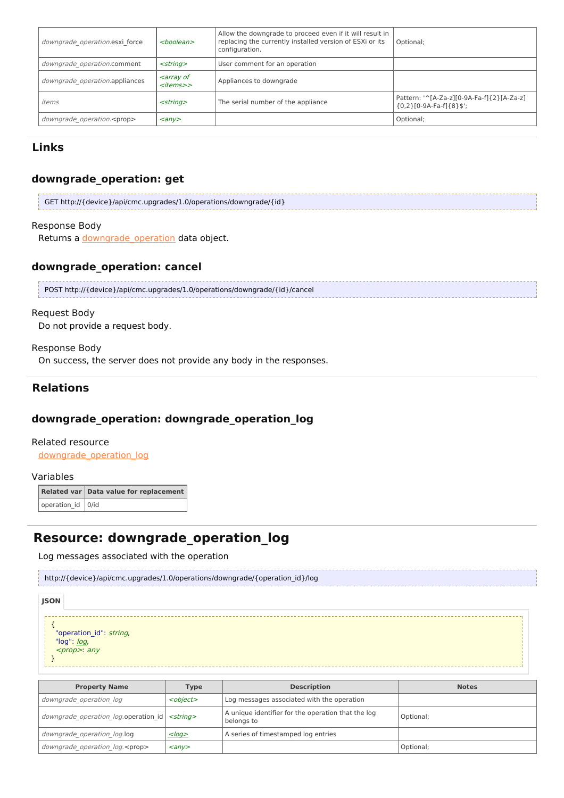| downgrade operation.esxi force     | $<$ boolean $>$                                            | Allow the downgrade to proceed even if it will result in<br>replacing the currently installed version of ESXi or its<br>configuration. | Optional;                                                            |
|------------------------------------|------------------------------------------------------------|----------------------------------------------------------------------------------------------------------------------------------------|----------------------------------------------------------------------|
| downgrade operation.comment        | $<$ string $>$                                             | User comment for an operation                                                                                                          |                                                                      |
| downgrade operation.appliances     | <i><b><array b="" of<=""></array></b></i><br>$<$ items $>$ | Appliances to downgrade                                                                                                                |                                                                      |
| items                              | $<$ string $>$                                             | The serial number of the appliance                                                                                                     | Pattern: '^[A-Za-z][0-9A-Fa-f]{2}[A-Za-z]<br>${0,2}[0.9A-Fa-f]{8}$ ; |
| downgrade operation. <prop></prop> | $\langle \rangle$                                          |                                                                                                                                        | Optional;                                                            |

## **downgrade\_operation: get**

| GET http://{device}/api/cmc.upgrades/1.0/operations/downgrade/{id} |  |
|--------------------------------------------------------------------|--|
|                                                                    |  |
|                                                                    |  |
|                                                                    |  |

#### Response Body

Returns a downgrade operation data object.

## **downgrade\_operation: cancel**

| POST http://{device}/api/cmc.upgrades/1.0/operations/downgrade/{id}/cancel |  |
|----------------------------------------------------------------------------|--|
|                                                                            |  |

### Request Body

Do not provide a request body.

### Response Body

On success, the server does not provide any body in the responses.

## **Relations**

## **downgrade\_operation: downgrade\_operation\_log**

### Related resource

[downgrade\\_operation\\_log](http://support.riverbed.com/apis/cmc.upgrades/1.0#/resources/downgrade_operation_log)

#### Variables

|                       | Related var Data value for replacement |
|-----------------------|----------------------------------------|
| operation_id $ 0/$ id |                                        |

# **Resource: downgrade\_operation\_log**

Log messages associated with the operation

http://{device}/api/cmc.upgrades/1.0/operations/downgrade/{operation\_id}/log

**JSON**

```
{
 "operation_id": string,
 log": <u>log</u>,
 <prop>: any
```
}

| <b>Property Name</b>                                   | <b>Type</b>             | <b>Description</b>                                               | <b>Notes</b> |
|--------------------------------------------------------|-------------------------|------------------------------------------------------------------|--------------|
| downgrade operation log                                | <object></object>       | Log messages associated with the operation                       |              |
| downgrade operation log.operation id <string></string> |                         | A unique identifier for the operation that the log<br>belongs to | Optional;    |
| downgrade operation log.log                            | $<$ log>                | A series of timestamped log entries                              |              |
| downgrade operation log. <prop></prop>                 | $\langle$ any $\rangle$ |                                                                  | Optional;    |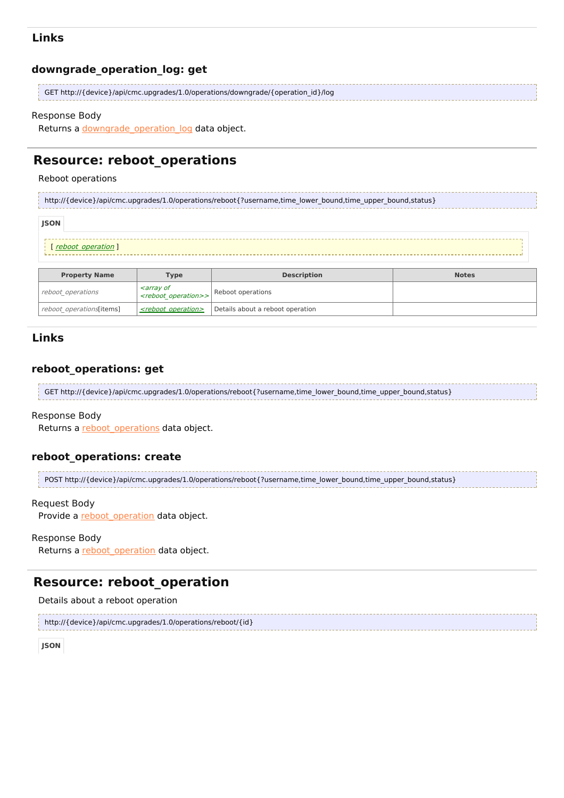### **downgrade\_operation\_log: get**

| GET http://{device}/api/cmc.upgrades/1.0/operations/downgrade/{operation_id}/log |
|----------------------------------------------------------------------------------|
|                                                                                  |

#### Response Body

Returns a downgrade operation log data object.

## **Resource: reboot\_operations**

reboot\_operations[items]  $\left| \frac{\text{<} \text{reboot operation} \text{>}}{\text{Oeration}} \right|$  Details about a reboot operation

#### Reboot operations

http://{device}/api/cmc.upgrades/1.0/operations/reboot{?username,time\_lower\_bound,time\_upper\_bound,status}

| <b>JSON</b>          |                                                                   |                    |              |
|----------------------|-------------------------------------------------------------------|--------------------|--------------|
| [reboot operation]   |                                                                   |                    |              |
| <b>Property Name</b> | <b>Type</b>                                                       | <b>Description</b> | <b>Notes</b> |
| reboot operations    | <array of<br=""><reboot_operation>&gt;</reboot_operation></array> | Reboot operations  |              |

### **Links**

## **reboot\_operations: get**

GET http://{device}/api/cmc.upgrades/1.0/operations/reboot{?username,time\_lower\_bound,time\_upper\_bound,status}

#### Response Body

Returns a [reboot\\_operations](http://support.riverbed.com/apis/cmc.upgrades/1.0#/resources/reboot_operations) data object.

#### **reboot\_operations: create**

```
POST http://{device}/api/cmc.upgrades/1.0/operations/reboot{?username,time_lower_bound,time_upper_bound,status}
```
#### Request Body

Provide a reboot operation data object.

```
Response Body
```
Returns a reboot operation data object.

# **Resource: reboot\_operation**

Details about a reboot operation

```
http://{device}/api/cmc.upgrades/1.0/operations/reboot/{id}
```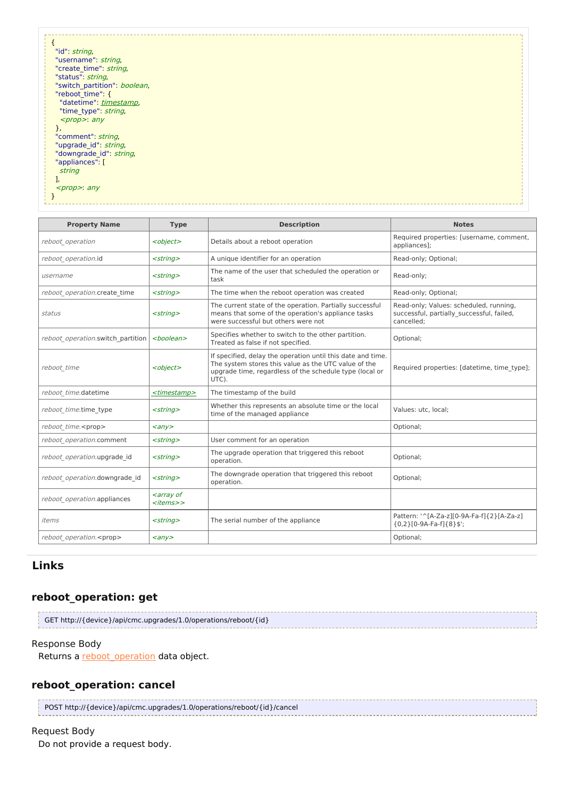| "id": string,                |  |
|------------------------------|--|
| "username": string,          |  |
| "create time": string,       |  |
| "status": string,            |  |
| "switch partition": boolean, |  |
| "reboot time": {             |  |
| "datetime": timestamp,       |  |
| "time type": string,         |  |
| $<$ prop>: any               |  |
|                              |  |
| ŗ,<br>"comment": string,     |  |
|                              |  |
| "upgrade_id": string,        |  |
| "downgrade_id": string,      |  |
| "appliances": [              |  |
| string                       |  |
|                              |  |
| $<$ prop>: any               |  |
|                              |  |
|                              |  |
|                              |  |

| <b>Property Name</b>              | <b>Type</b>                                                     | <b>Description</b>                                                                                                                                                                      | <b>Notes</b>                                                                                      |
|-----------------------------------|-----------------------------------------------------------------|-----------------------------------------------------------------------------------------------------------------------------------------------------------------------------------------|---------------------------------------------------------------------------------------------------|
| reboot operation                  | <object></object>                                               | Details about a reboot operation                                                                                                                                                        | Required properties: [username, comment,<br>appliances];                                          |
| reboot operation.id               | $<$ string $>$                                                  | A unique identifier for an operation                                                                                                                                                    | Read-only; Optional;                                                                              |
| username                          | $<$ string $>$                                                  | The name of the user that scheduled the operation or<br>task                                                                                                                            | Read-only;                                                                                        |
| reboot operation.create time      | $<$ string $>$                                                  | The time when the reboot operation was created                                                                                                                                          | Read-only; Optional;                                                                              |
| status                            | $<$ string $>$                                                  | The current state of the operation. Partially successful<br>means that some of the operation's appliance tasks<br>were successful but others were not                                   | Read-only; Values: scheduled, running,<br>successful, partially successful, failed,<br>cancelled; |
| reboot operation.switch partition | $<$ boolean $>$                                                 | Specifies whether to switch to the other partition.<br>Treated as false if not specified.                                                                                               | Optional;                                                                                         |
| reboot time                       | <object></object>                                               | If specified, delay the operation until this date and time.<br>The system stores this value as the UTC value of the<br>upgrade time, regardless of the schedule type (local or<br>UTC). | Required properties: [datetime, time type];                                                       |
| reboot time.datetime              | <timestamp></timestamp>                                         | The timestamp of the build                                                                                                                                                              |                                                                                                   |
| reboot time.time type             | $<$ string $>$                                                  | Whether this represents an absolute time or the local<br>time of the managed appliance                                                                                                  | Values: utc. local:                                                                               |
| reboot time. <prop></prop>        | $\langle \rangle$                                               |                                                                                                                                                                                         | Optional;                                                                                         |
| reboot operation.comment          | $<$ string $>$                                                  | User comment for an operation                                                                                                                                                           |                                                                                                   |
| reboot operation.upgrade id       | $<$ string $>$                                                  | The upgrade operation that triggered this reboot<br>operation.                                                                                                                          | Optional;                                                                                         |
| reboot operation.downgrade id     | $<$ string $>$                                                  | The downgrade operation that triggered this reboot<br>operation.                                                                                                                        | Optional;                                                                                         |
| reboot operation.appliances       | <array of<br=""><math>&lt;</math>items<math>&gt;</math></array> |                                                                                                                                                                                         |                                                                                                   |
| items                             | $<$ string $>$                                                  | The serial number of the appliance                                                                                                                                                      | Pattern: '^[A-Za-z][0-9A-Fa-f]{2}[A-Za-z]<br>${0,2}$ [0-9A-Fa-f] ${8}$ ]                          |
| reboot operation. <prop></prop>   | $\langle \rangle$                                               |                                                                                                                                                                                         | Optional;                                                                                         |

## **reboot\_operation: get**

```
GET http://{device}/api/cmc.upgrades/1.0/operations/reboot/{id}
```
### Response Body

Returns a **[reboot\\_operation](http://support.riverbed.com/apis/cmc.upgrades/1.0#/resources/reboot_operation)** data object.

### **reboot\_operation: cancel**

POST http://{device}/api/cmc.upgrades/1.0/operations/reboot/{id}/cancel

```
Request Body
 Do not provide a request body.
```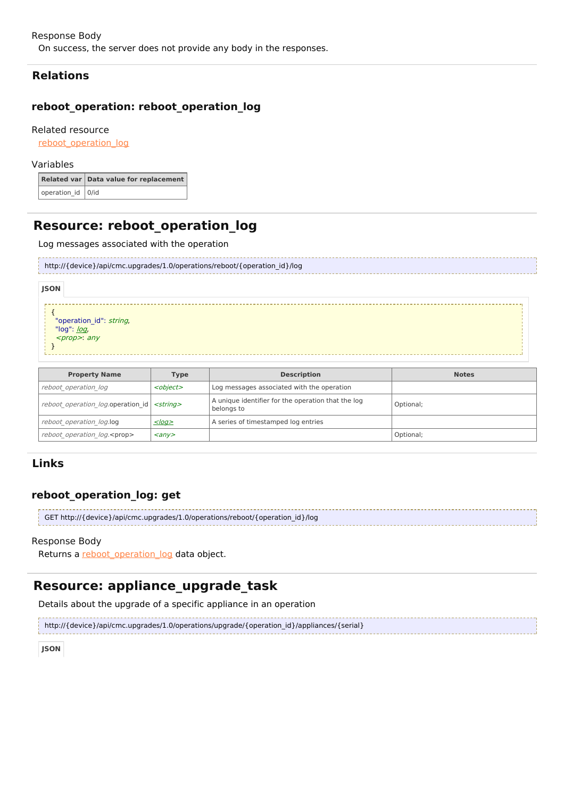## **Relations**

## **reboot\_operation: reboot\_operation\_log**

### Related resource

reboot operation log

#### Variables

|                   | Related var Data value for replacement |
|-------------------|----------------------------------------|
| operation_id 0/id |                                        |

## **Resource: reboot\_operation\_log**

#### Log messages associated with the operation

|             | http://{device}/api/cmc.upgrades/1.0/operations/reboot/{operation_id}/log |  |  |  |  |  |
|-------------|---------------------------------------------------------------------------|--|--|--|--|--|
| <b>JSON</b> |                                                                           |  |  |  |  |  |
|             | "operation_id": <i>string,</i><br>"log": <u>log</u> ,                     |  |  |  |  |  |

#### <prop>: any

```
}
```

| <b>Property Name</b><br><b>Type</b>              |                         | <b>Description</b>                                               | <b>Notes</b> |
|--------------------------------------------------|-------------------------|------------------------------------------------------------------|--------------|
| reboot operation log                             | <object></object>       | Log messages associated with the operation                       |              |
| reboot operation log.operation id $ $ < string > |                         | A unique identifier for the operation that the log<br>belongs to | Optional;    |
| reboot operation log.log                         | $<$ log>                | A series of timestamped log entries                              |              |
| reboot operation log. <prop></prop>              | $\langle$ any $\rangle$ |                                                                  | Optional;    |

## **Links**

## **reboot\_operation\_log: get**

| GET http://{device}/api/cmc.upgrades/1.0/operations/reboot/{operation id}/log |
|-------------------------------------------------------------------------------|
|                                                                               |

#### Response Body

Returns a [reboot\\_operation\\_log](http://support.riverbed.com/apis/cmc.upgrades/1.0#/resources/reboot_operation_log) data object.

# **Resource: appliance\_upgrade\_task**

Details about the upgrade of a specific appliance in an operation

http://{device}/api/cmc.upgrades/1.0/operations/upgrade/{operation\_id}/appliances/{serial}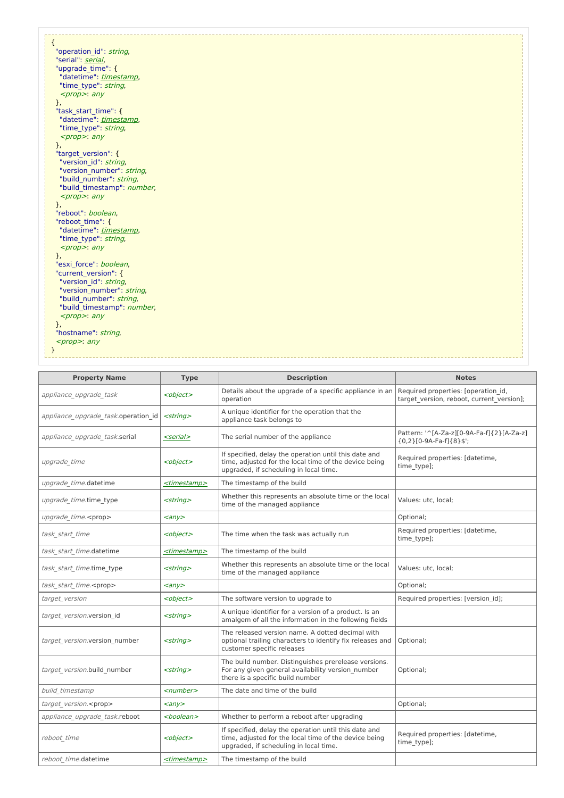| ł                          |  |
|----------------------------|--|
| "operation id": string,    |  |
| "serial": serial,          |  |
| "upgrade time": {          |  |
| "datetime": timestamp,     |  |
| "time type": string,       |  |
| <prop>: any</prop>         |  |
| },                         |  |
| "task start time": {       |  |
| "datetime": timestamp,     |  |
| "time_type": string,       |  |
| <prop>: any</prop>         |  |
| },                         |  |
| "target_version": {        |  |
| "version id": string,      |  |
| "version number": string,  |  |
| "build_number": string,    |  |
| "build timestamp": number, |  |
| $<$ prop>: any             |  |
| },                         |  |
| "reboot": boolean,         |  |
| "reboot time": {           |  |
| "datetime": timestamp,     |  |
| "time type": string,       |  |
| $<$ prop>: any             |  |
| },                         |  |
| "esxi force": boolean,     |  |
| "current version": {       |  |
| "version id": string,      |  |
| "version_number": string,  |  |
| "build number": string,    |  |
| "build_timestamp": number, |  |
| $<$ prop>: any             |  |
| },                         |  |
| "hostname": string,        |  |
| $<$ prop>: any             |  |
|                            |  |
|                            |  |

| <b>Property Name</b><br><b>Type</b><br><b>Description</b>                   |                         | <b>Notes</b>                                                                                                                                               |                                                                                  |  |
|-----------------------------------------------------------------------------|-------------------------|------------------------------------------------------------------------------------------------------------------------------------------------------------|----------------------------------------------------------------------------------|--|
| appliance upgrade task                                                      | <object></object>       | Details about the upgrade of a specific appliance in an<br>operation                                                                                       | Required properties: [operation id,<br>target version, reboot, current version]; |  |
| appliance upgrade task.operation id                                         | $<$ string $>$          | A unique identifier for the operation that the<br>appliance task belongs to                                                                                |                                                                                  |  |
| appliance upgrade task.serial                                               | <serial></serial>       | The serial number of the appliance                                                                                                                         | Pattern: '^[A-Za-z][0-9A-Fa-f]{2}[A-Za-z]<br>${0,2}[0.9A-Fa-f]{8}$ ;             |  |
| upgrade time                                                                | <object></object>       | If specified, delay the operation until this date and<br>time, adjusted for the local time of the device being<br>upgraded, if scheduling in local time.   | Required properties: [datetime,<br>time type];                                   |  |
| upgrade time.datetime                                                       | <timestamp></timestamp> | The timestamp of the build                                                                                                                                 |                                                                                  |  |
| upgrade time.time type                                                      | $<$ string $>$          | Whether this represents an absolute time or the local<br>time of the managed appliance                                                                     | Values: utc, local;                                                              |  |
| upgrade time. <prop></prop>                                                 | $\langle \rangle$       |                                                                                                                                                            | Optional;                                                                        |  |
| task start time<br><object></object>                                        |                         | The time when the task was actually run                                                                                                                    | Required properties: [datetime,<br>time_type];                                   |  |
| task start time.datetime                                                    | <timestamp></timestamp> | The timestamp of the build                                                                                                                                 |                                                                                  |  |
| task start time.time type<br>$<$ string $>$                                 |                         | Whether this represents an absolute time or the local<br>time of the managed appliance                                                                     | Values: utc, local;                                                              |  |
| task start time. <prop></prop>                                              | $\langle \rangle$       |                                                                                                                                                            | Optional;                                                                        |  |
| target version                                                              | <object></object>       | The software version to upgrade to                                                                                                                         | Required properties: [version id];                                               |  |
| target version.version id                                                   | <string></string>       | A unique identifier for a version of a product. Is an<br>amalgem of all the information in the following fields                                            |                                                                                  |  |
| target version.version number<br>$<$ string $>$                             |                         | The released version name. A dotted decimal with<br>optional trailing characters to identify fix releases and<br>customer specific releases                | Optional;                                                                        |  |
| target version.build number<br>$<$ string $>$                               |                         | The build number. Distinguishes prerelease versions.<br>For any given general availability version number<br>Optional;<br>there is a specific build number |                                                                                  |  |
| build timestamp                                                             | <number></number>       | The date and time of the build                                                                                                                             |                                                                                  |  |
| target version. <prop></prop>                                               | $\langle \rangle$       |                                                                                                                                                            | Optional;                                                                        |  |
| appliance upgrade task.reboot                                               | <boolean></boolean>     | Whether to perform a reboot after upgrading                                                                                                                |                                                                                  |  |
| reboot time<br><object><br/>upgraded, if scheduling in local time.</object> |                         | If specified, delay the operation until this date and<br>time, adjusted for the local time of the device being                                             | Required properties: [datetime,<br>time type];                                   |  |
| reboot time.datetime                                                        | <timestamp></timestamp> | The timestamp of the build                                                                                                                                 |                                                                                  |  |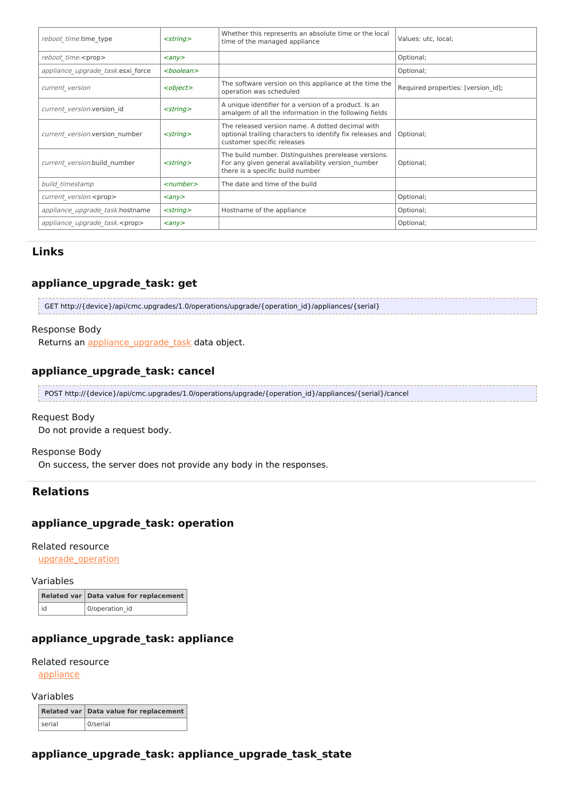| $<$ string $>$<br>reboot time.time type                         |                              | Whether this represents an absolute time or the local<br>time of the managed appliance                                                        | Values: utc, local;                |  |
|-----------------------------------------------------------------|------------------------------|-----------------------------------------------------------------------------------------------------------------------------------------------|------------------------------------|--|
| reboot time. <prop></prop>                                      | $\langle \rangle$            |                                                                                                                                               | Optional;                          |  |
| appliance upgrade task.esxi force                               | <boolean></boolean>          |                                                                                                                                               | Optional;                          |  |
| <object><br/>current version</object>                           |                              | The software version on this appliance at the time the<br>operation was scheduled                                                             | Required properties: [version id]; |  |
| $<$ string $>$<br>current version.version id                    |                              | A unique identifier for a version of a product. Is an<br>amalgem of all the information in the following fields                               |                                    |  |
| current version.version number                                  | $<$ string $>$               | The released version name. A dotted decimal with<br>optional trailing characters to identify fix releases and<br>customer specific releases   | Optional;                          |  |
| current version.build number                                    | $<$ string $>$               | The build number. Distinguishes prerelease versions.<br>For any given general availability version number<br>there is a specific build number | Optional;                          |  |
| build timestamp<br>$<$ number $>$                               |                              | The date and time of the build                                                                                                                |                                    |  |
| current version. <prop><br/><math>\langle \rangle</math></prop> |                              |                                                                                                                                               | Optional;                          |  |
| appliance upgrade task.hostname<br>$<$ string $>$               |                              | Hostname of the appliance                                                                                                                     | Optional;                          |  |
| appliance upgrade task. <prop></prop>                           | $\langle \text{any} \rangle$ |                                                                                                                                               | Optional;                          |  |

## **appliance\_upgrade\_task: get**

GET http://{device}/api/cmc.upgrades/1.0/operations/upgrade/{operation\_id}/appliances/{serial}

#### Response Body

Returns an appliance upgrade task data object.

## **appliance\_upgrade\_task: cancel**

POST http://{device}/api/cmc.upgrades/1.0/operations/upgrade/{operation\_id}/appliances/{serial}/cancel

#### Request Body

Do not provide a request body.

#### Response Body

On success, the server does not provide any body in the responses.

## **Relations**

### **appliance\_upgrade\_task: operation**

Related resource

[upgrade\\_operation](http://support.riverbed.com/apis/cmc.upgrades/1.0#/resources/upgrade_operation)

### Variables

|      | Related var   Data value for replacement |
|------|------------------------------------------|
| l id | 0/operation_id                           |

## **appliance\_upgrade\_task: appliance**

#### Related resource

[appliance](http://support.riverbed.com/apis/cmc.upgrades/1.0#/resources/appliance)

Variables

|        | Related var Data value for replacement |
|--------|----------------------------------------|
| serial | 0/serial                               |

## **appliance\_upgrade\_task: appliance\_upgrade\_task\_state**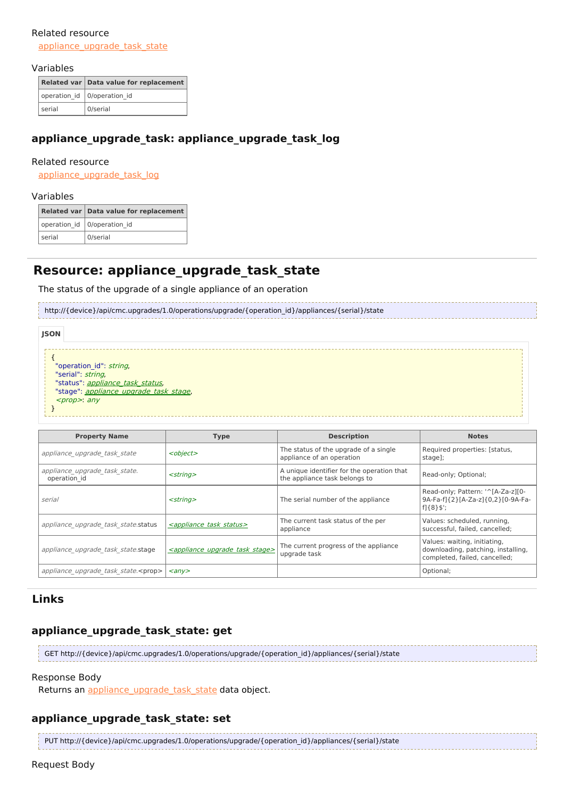### Related resource [appliance\\_upgrade\\_task\\_state](http://support.riverbed.com/apis/cmc.upgrades/1.0#/resources/appliance_upgrade_task_state)

#### Variables

|        | Related var Data value for replacement |
|--------|----------------------------------------|
|        | operation_id   0/operation_id          |
| serial | 0/serial                               |

## **appliance\_upgrade\_task: appliance\_upgrade\_task\_log**

#### Related resource

appliance upgrade task log

#### Variables

|        | Related var Data value for replacement |  |  |
|--------|----------------------------------------|--|--|
|        | operation_id   0/operation_id          |  |  |
| serial | 0/serial                               |  |  |

## **Resource: appliance\_upgrade\_task\_state**

The status of the upgrade of a single appliance of an operation

http://{device}/api/cmc.upgrades/1.0/operations/upgrade/{operation\_id}/appliances/{serial}/state

{ "operation\_id": string, "serial": string, "status": appliance task status, "stage": *[appliance\\_upgrade\\_task\\_stage](http://support.riverbed.com/apis/cmc.upgrades/1.0#/types/appliance_upgrade_task_stage)*, <prop>: any } **JSON**

| <b>Property Name</b>                          | <b>Type</b>                                         | <b>Description</b>                                                          | <b>Notes</b>                                                                                        |
|-----------------------------------------------|-----------------------------------------------------|-----------------------------------------------------------------------------|-----------------------------------------------------------------------------------------------------|
| appliance upgrade task state                  | <object></object>                                   | The status of the upgrade of a single<br>appliance of an operation          | Required properties: [status,<br>stage];                                                            |
| appliance upgrade task state.<br>operation id | $<$ string $>$                                      | A unique identifier for the operation that<br>the appliance task belongs to | Read-only; Optional;                                                                                |
| serial                                        | $<$ string $>$                                      | The serial number of the appliance                                          | Read-only; Pattern: '^[A-Za-z][0-<br>9A-Fa-f1{2}[A-Za-z1{0,2}[0-9A-Fa-<br>f]{8}\$';                 |
| appliance upgrade task state.status           | <appliance status="" task=""></appliance>           | The current task status of the per<br>appliance                             | Values: scheduled, running,<br>successful, failed, cancelled;                                       |
| appliance upgrade task state.stage            | <appliance stage="" task="" upgrade=""></appliance> | The current progress of the appliance<br>upgrade task                       | Values: waiting, initiating,<br>downloading, patching, installing,<br>completed, failed, cancelled; |
| appliance upgrade task state. <prop></prop>   | $\langle$ any $\rangle$                             |                                                                             | Optional;                                                                                           |

## **Links**

## **appliance\_upgrade\_task\_state: get**

GET http://{device}/api/cmc.upgrades/1.0/operations/upgrade/{operation\_id}/appliances/{serial}/state

#### Response Body

Returns an appliance upgrade task state data object.

## **appliance\_upgrade\_task\_state: set**

PUT http://{device}/api/cmc.upgrades/1.0/operations/upgrade/{operation\_id}/appliances/{serial}/state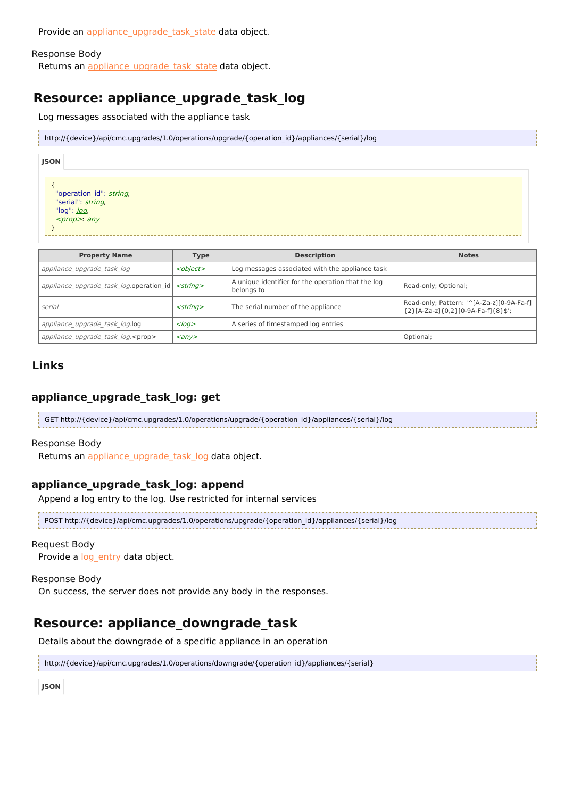Provide an appliance upgrade task state data object.

#### Response Body

Returns an appliance upgrade task state data object.

# **Resource: appliance\_upgrade\_task\_log**

Log messages associated with the appliance task

```
http://{device}/api/cmc.upgrades/1.0/operations/upgrade/{operation_id}/appliances/{serial}/log
```

| ۰, | - 1<br>۰. | . .<br>۰. |  |  |
|----|-----------|-----------|--|--|
|    |           |           |  |  |
|    |           |           |  |  |

{ "operation\_id": string, "serial": string, "[log](http://support.riverbed.com/apis/cmc.upgrades/1.0#/types/log)": <u>log</u>, <prop>: any

}

| <b>Property Name</b>                      | <b>Type</b>             | <b>Description</b>                                               | <b>Notes</b>                                                                    |
|-------------------------------------------|-------------------------|------------------------------------------------------------------|---------------------------------------------------------------------------------|
| appliance upgrade task log                | <object></object>       | Log messages associated with the appliance task                  |                                                                                 |
| appliance upgrade task log.operation id   | $<$ strina $>$          | A unique identifier for the operation that the log<br>belongs to | Read-only; Optional;                                                            |
| serial                                    | $<$ string $>$          | The serial number of the appliance                               | Read-only; Pattern: '^[A-Za-z][0-9A-Fa-f]<br>{2}[A-Za-z]{0,2}[0-9A-Fa-f]{8}\$'; |
| appliance upgrade task log.log            | $<$ log $>$             | A series of timestamped log entries                              |                                                                                 |
| appliance upgrade task log. <prop></prop> | $\langle$ any $\rangle$ |                                                                  | Optional;                                                                       |

## **Links**

## **appliance\_upgrade\_task\_log: get**

GET http://{device}/api/cmc.upgrades/1.0/operations/upgrade/{operation\_id}/appliances/{serial}/log

#### Response Body

Returns an appliance upgrade task log data object.

## **appliance\_upgrade\_task\_log: append**

Append a log entry to the log. Use restricted for internal services

POST http://{device}/api/cmc.upgrades/1.0/operations/upgrade/{operation\_id}/appliances/{serial}/log

### Request Body

Provide a log entry data object.

#### Response Body

On success, the server does not provide any body in the responses.

# **Resource: appliance\_downgrade\_task**

Details about the downgrade of a specific appliance in an operation

http://{device}/api/cmc.upgrades/1.0/operations/downgrade/{operation\_id}/appliances/{serial}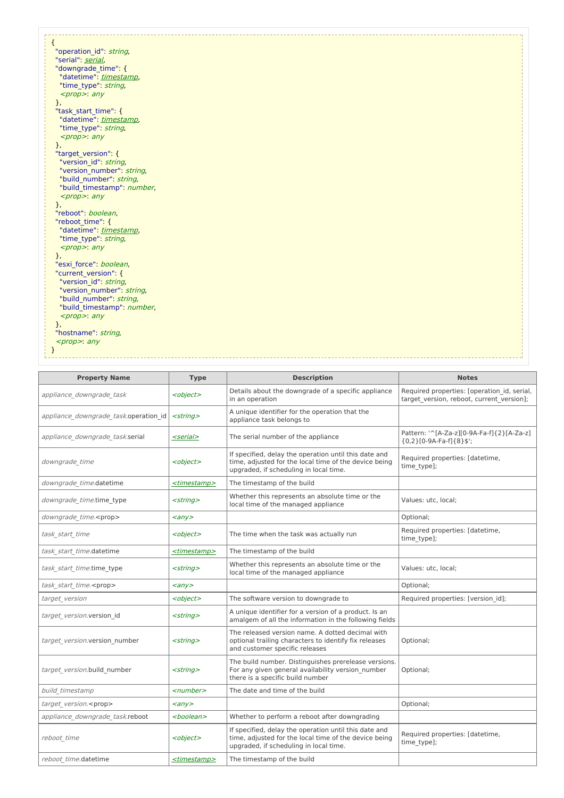| "operation id": string,                              |  |
|------------------------------------------------------|--|
| "serial": serial,                                    |  |
| "downgrade_time": {                                  |  |
| "datetime": timestamp,                               |  |
| "time type": string,                                 |  |
| $<$ prop>: any                                       |  |
| },                                                   |  |
| "task start time": {                                 |  |
| "datetime": timestamp,                               |  |
| "time type": string,                                 |  |
| $<$ prop>: any                                       |  |
| },                                                   |  |
| "target_version": {                                  |  |
| "version id": string,                                |  |
| "version number": string,                            |  |
| "build_number": string,                              |  |
| "build timestamp": number,                           |  |
| $<$ prop>: any                                       |  |
| },                                                   |  |
| "reboot": boolean,                                   |  |
| "reboot time": {                                     |  |
| "datetime": timestamp,                               |  |
| "time type": string,                                 |  |
| $<$ prop>: any                                       |  |
| },                                                   |  |
| "esxi force": boolean,                               |  |
| "current version": {                                 |  |
| "version id": string,                                |  |
| "version number": string,<br>"build number": string, |  |
| "build_timestamp": number,                           |  |
| $<$ prop>: any                                       |  |
| },                                                   |  |
| "hostname": string,                                  |  |
| $<$ prop>: any                                       |  |
|                                                      |  |
|                                                      |  |

| <b>Property Name</b>                  | <b>Type</b>             | <b>Description</b>                                                                                                                                       | <b>Notes</b>                                                                             |
|---------------------------------------|-------------------------|----------------------------------------------------------------------------------------------------------------------------------------------------------|------------------------------------------------------------------------------------------|
| appliance downgrade task              | <object></object>       | Details about the downgrade of a specific appliance<br>in an operation                                                                                   | Required properties: [operation id, serial,<br>target version, reboot, current version]; |
| appliance downgrade task.operation id | $<$ string $>$          | A unique identifier for the operation that the<br>appliance task belongs to                                                                              |                                                                                          |
| appliance downgrade task.serial       | <serial></serial>       | The serial number of the appliance                                                                                                                       | Pattern: '^[A-Za-z][0-9A-Fa-f]{2}[A-Za-z]<br>${0,2}[0.9A-Fa-f]{8}$ ;                     |
| downgrade time                        | <object></object>       | If specified, delay the operation until this date and<br>time, adjusted for the local time of the device being<br>upgraded, if scheduling in local time. | Required properties: [datetime,<br>time type];                                           |
| downgrade time.datetime               | <timestamp></timestamp> | The timestamp of the build                                                                                                                               |                                                                                          |
| downgrade time.time type              | $<$ string $>$          | Whether this represents an absolute time or the<br>local time of the managed appliance                                                                   | Values: utc, local;                                                                      |
| downgrade time. <prop></prop>         | $\langle \rangle$       |                                                                                                                                                          | Optional;                                                                                |
| task start time                       | <object></object>       | The time when the task was actually run                                                                                                                  | Required properties: [datetime,<br>time_type];                                           |
| task start time.datetime              | <timestamp></timestamp> | The timestamp of the build                                                                                                                               |                                                                                          |
| task start time.time type             | <string></string>       | Whether this represents an absolute time or the<br>local time of the managed appliance                                                                   | Values: utc, local;                                                                      |
| task start time. <prop></prop>        | $\langle \rangle$       |                                                                                                                                                          | Optional;                                                                                |
| target version                        | <object></object>       | The software version to downgrade to                                                                                                                     | Required properties: [version id];                                                       |
| target version.version id             | $<$ string $>$          | A unique identifier for a version of a product. Is an<br>amalgem of all the information in the following fields                                          |                                                                                          |
| target version.version number         | $<$ string $>$          | The released version name. A dotted decimal with<br>optional trailing characters to identify fix releases<br>and customer specific releases              | Optional;                                                                                |
| target version.build number           | <string></string>       | The build number. Distinguishes prerelease versions.<br>For any given general availability version number<br>there is a specific build number            | Optional;                                                                                |
| build timestamp                       | <number></number>       | The date and time of the build                                                                                                                           |                                                                                          |
| target version. <prop></prop>         | $\langle \rangle$       |                                                                                                                                                          | Optional;                                                                                |
| appliance downgrade task.reboot       | <boolean></boolean>     | Whether to perform a reboot after downgrading                                                                                                            |                                                                                          |
| reboot time                           | <object></object>       | If specified, delay the operation until this date and<br>time, adjusted for the local time of the device being<br>upgraded, if scheduling in local time. | Required properties: [datetime,<br>time_type];                                           |
| reboot time.datetime                  | <timestamp></timestamp> | The timestamp of the build                                                                                                                               |                                                                                          |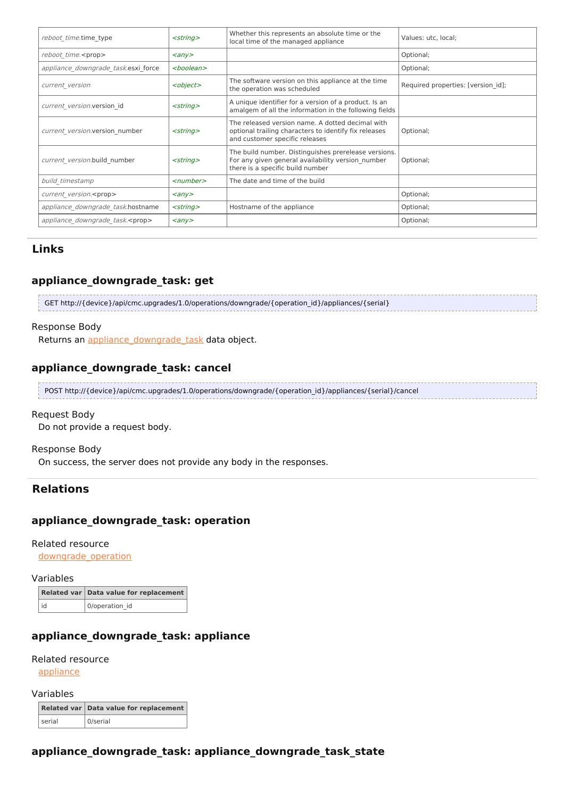| reboot time.time type                   | $<$ string $>$                 | Whether this represents an absolute time or the<br>local time of the managed appliance                                                        | Values: utc, local;                |
|-----------------------------------------|--------------------------------|-----------------------------------------------------------------------------------------------------------------------------------------------|------------------------------------|
| reboot time. <prop></prop>              | $\langle \textit{any} \rangle$ |                                                                                                                                               | Optional;                          |
| appliance downgrade task.esxi force     | <boolean></boolean>            |                                                                                                                                               | Optional;                          |
| current version                         | <object></object>              | The software version on this appliance at the time<br>the operation was scheduled                                                             | Required properties: [version id]; |
| current version.version id              | $<$ string $>$                 | A unique identifier for a version of a product. Is an<br>amalgem of all the information in the following fields                               |                                    |
| current version.version number          | $<$ string $>$                 | The released version name. A dotted decimal with<br>optional trailing characters to identify fix releases<br>and customer specific releases   | Optional;                          |
| current version.build number            | $<$ string $>$                 | The build number. Distinguishes prerelease versions.<br>For any given general availability version number<br>there is a specific build number | Optional;                          |
| build timestamp                         | $\le$ number $>$               | The date and time of the build                                                                                                                |                                    |
| current version. <prop></prop>          | $\langle \textit{any} \rangle$ |                                                                                                                                               | Optional;                          |
| appliance downgrade task.hostname       | $<$ string $>$                 | Hostname of the appliance                                                                                                                     | Optional;                          |
| appliance downgrade task. <prop></prop> | $\langle \textit{any} \rangle$ |                                                                                                                                               | Optional;                          |

## **appliance\_downgrade\_task: get**

GET http://{device}/api/cmc.upgrades/1.0/operations/downgrade/{operation\_id}/appliances/{serial}

#### Response Body

Returns an appliance downgrade task data object.

## **appliance\_downgrade\_task: cancel**

POST http://{device}/api/cmc.upgrades/1.0/operations/downgrade/{operation\_id}/appliances/{serial}/cancel

#### Request Body

Do not provide a request body.

#### Response Body

On success, the server does not provide any body in the responses.

## **Relations**

## **appliance\_downgrade\_task: operation**

### Related resource

[downgrade\\_operation](http://support.riverbed.com/apis/cmc.upgrades/1.0#/resources/downgrade_operation)

#### Variables

|    | Related var   Data value for replacement |
|----|------------------------------------------|
| id | 0/operation id                           |

## **appliance\_downgrade\_task: appliance**

#### Related resource

[appliance](http://support.riverbed.com/apis/cmc.upgrades/1.0#/resources/appliance)

#### Variables

|        | Related var Data value for replacement |
|--------|----------------------------------------|
| serial | 0/serial                               |

## **appliance\_downgrade\_task: appliance\_downgrade\_task\_state**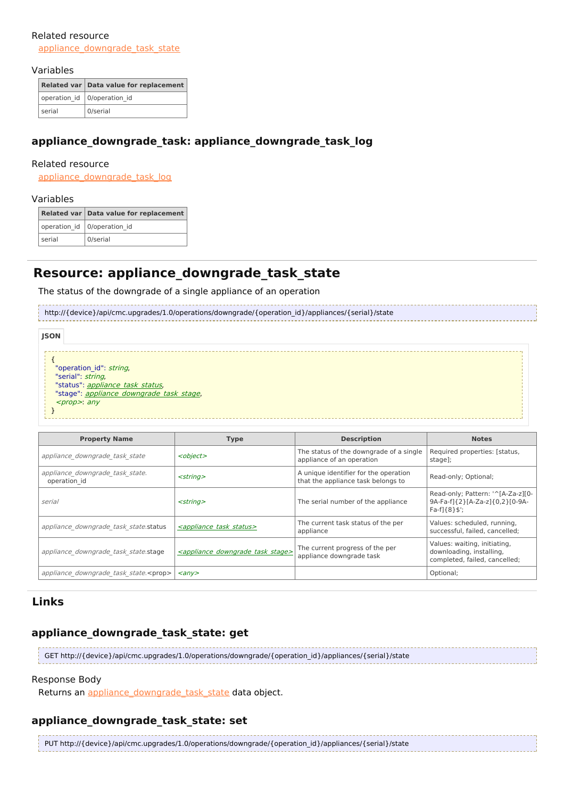#### Related resource

appliance downgrade task state

#### Variables

|        | Related var Data value for replacement |
|--------|----------------------------------------|
|        | operation_id   0/operation_id          |
| serial | 0/serial                               |

## **appliance\_downgrade\_task: appliance\_downgrade\_task\_log**

#### Related resource

[appliance\\_downgrade\\_task\\_log](http://support.riverbed.com/apis/cmc.upgrades/1.0#/resources/appliance_downgrade_task_log)

#### Variables

|        | Related var   Data value for replacement |
|--------|------------------------------------------|
|        | operation_id   0/operation_id            |
| serial | 0/serial                                 |
|        |                                          |

## **Resource: appliance\_downgrade\_task\_state**

The status of the downgrade of a single appliance of an operation

http://{device}/api/cmc.upgrades/1.0/operations/downgrade/{operation\_id}/appliances/{serial}/state

| <b>JSON</b> |                                                                                                                                                        |
|-------------|--------------------------------------------------------------------------------------------------------------------------------------------------------|
|             | "operation id": string,<br>"serial": string,<br>"status": appliance task status,<br>"stage": <i>appliance downgrade task stage</i> ,<br>$<$ prop>: any |

| <b>Property Name</b>                            | <b>Type</b>                                           | <b>Description</b>                                                          | <b>Notes</b>                                                                              |
|-------------------------------------------------|-------------------------------------------------------|-----------------------------------------------------------------------------|-------------------------------------------------------------------------------------------|
| appliance downgrade task state                  | <object></object>                                     | The status of the downgrade of a single<br>appliance of an operation        | Required properties: [status,<br>stage];                                                  |
| appliance downgrade task state.<br>operation id | $<$ string $>$                                        | A unique identifier for the operation<br>that the appliance task belongs to | Read-only; Optional;                                                                      |
| serial                                          | $<$ strina $>$                                        | The serial number of the appliance                                          | Read-only; Pattern: '^[A-Za-z][0-<br>9A-Fa-f1{2}[A-Za-z1{0,2}[0-9A-<br>$Fa-f1{8}$ ;       |
| appliance downgrade task state.status           | <appliance status="" task=""></appliance>             | The current task status of the per<br>appliance                             | Values: scheduled, running,<br>successful, failed, cancelled;                             |
| appliance downgrade task state.stage            | <appliance downgrade="" stage="" task=""></appliance> | The current progress of the per<br>appliance downgrade task                 | Values: waiting, initiating,<br>downloading, installing,<br>completed, failed, cancelled; |
| appliance downgrade task state. <prop></prop>   | $\langle$ any $\rangle$                               |                                                                             | Optional;                                                                                 |

## **Links**

## **appliance\_downgrade\_task\_state: get**

GET http://{device}/api/cmc.upgrades/1.0/operations/downgrade/{operation\_id}/appliances/{serial}/state

#### Response Body

Returns an [appliance\\_downgrade\\_task\\_state](http://support.riverbed.com/apis/cmc.upgrades/1.0#/resources/appliance_downgrade_task_state) data object.

## **appliance\_downgrade\_task\_state: set**

PUT http://{device}/api/cmc.upgrades/1.0/operations/downgrade/{operation\_id}/appliances/{serial}/state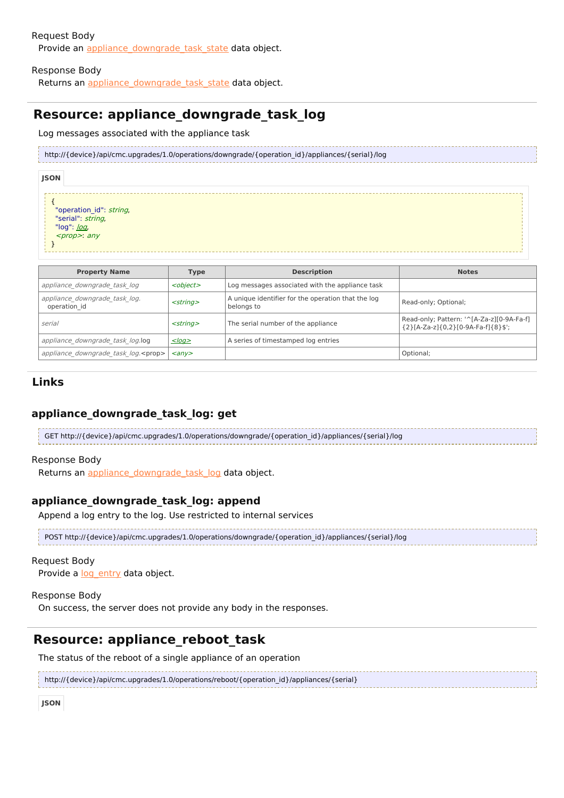### Request Body Provide an appliance downgrade task state data object.

### Response Body

Returns an appliance downgrade task state data object.

# **Resource: appliance\_downgrade\_task\_log**

Log messages associated with the appliance task

http://{device}/api/cmc.upgrades/1.0/operations/downgrade/{operation\_id}/appliances/{serial}/log

#### **JSON**

{ "operation id": string, "serial": string, "[log](http://support.riverbed.com/apis/cmc.upgrades/1.0#/types/log)": <u>log</u>, <prop>: any }

| <b>Property Name</b>                          | <b>Type</b>                  | <b>Description</b>                                               | <b>Notes</b>                                                                    |
|-----------------------------------------------|------------------------------|------------------------------------------------------------------|---------------------------------------------------------------------------------|
| appliance downgrade task log                  | <object></object>            | Log messages associated with the appliance task                  |                                                                                 |
| appliance downgrade task log.<br>operation id | $<$ string $>$               | A unique identifier for the operation that the log<br>belongs to | Read-only; Optional;                                                            |
| serial                                        | $<$ string $>$               | The serial number of the appliance                               | Read-only; Pattern: '^[A-Za-z][0-9A-Fa-f]<br>{2}[A-Za-z]{0,2}[0-9A-Fa-f]{8}\$'; |
| appliance downgrade task log.log              | $<$ log $>$                  | A series of timestamped log entries                              |                                                                                 |
| appliance downgrade task log. <prop></prop>   | $\langle \text{any} \rangle$ |                                                                  | Optional;                                                                       |

## **Links**

## **appliance\_downgrade\_task\_log: get**

GET http://{device}/api/cmc.upgrades/1.0/operations/downgrade/{operation\_id}/appliances/{serial}/log

#### Response Body

Returns an [appliance\\_downgrade\\_task\\_log](http://support.riverbed.com/apis/cmc.upgrades/1.0#/resources/appliance_downgrade_task_log) data object.

## **appliance\_downgrade\_task\_log: append**

Append a log entry to the log. Use restricted to internal services

```
POST http://{device}/api/cmc.upgrades/1.0/operations/downgrade/{operation_id}/appliances/{serial}/log
```
#### Request Body

Provide a log entry data object.

#### Response Body

On success, the server does not provide any body in the responses.

## **Resource: appliance\_reboot\_task**

The status of the reboot of a single appliance of an operation

http://{device}/api/cmc.upgrades/1.0/operations/reboot/{operation\_id}/appliances/{serial}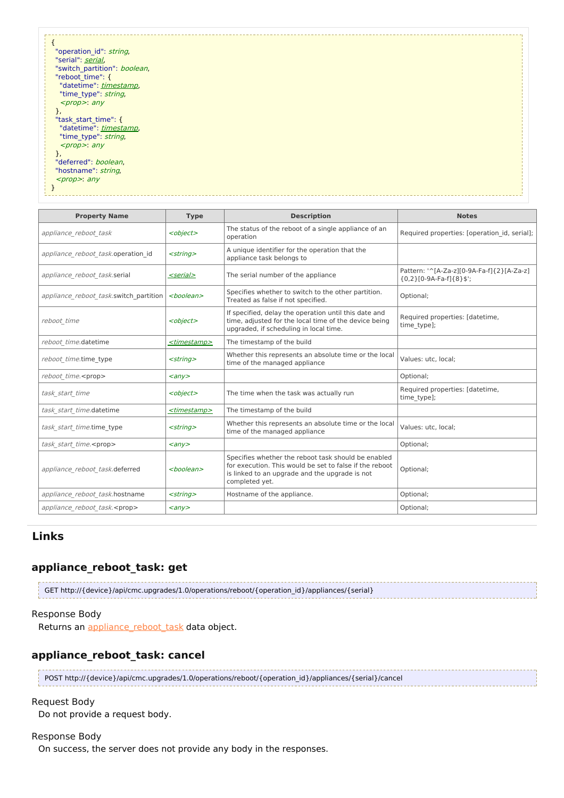| "operation id": string,      |  |
|------------------------------|--|
| "serial": serial,            |  |
| "switch partition": boolean, |  |
| "reboot time": {             |  |
| "datetime": timestamp,       |  |
| "time type": string,         |  |
| $<$ prop>: any               |  |
|                              |  |
| r,<br>"task start time": {   |  |
|                              |  |
| "datetime": timestamp,       |  |
| "time type": string,         |  |
| $<$ prop>: any               |  |
| г,                           |  |
| "deferred": boolean,         |  |
| "hostname": string,          |  |
| $<$ prop>: any               |  |
|                              |  |
|                              |  |
|                              |  |

| <b>Property Name</b>                   | <b>Type</b>             | <b>Description</b>                                                                                                                                                                 | <b>Notes</b>                                                         |
|----------------------------------------|-------------------------|------------------------------------------------------------------------------------------------------------------------------------------------------------------------------------|----------------------------------------------------------------------|
| appliance reboot task                  | <object></object>       | The status of the reboot of a single appliance of an<br>operation                                                                                                                  | Required properties: [operation id, serial];                         |
| appliance reboot task.operation id     | $<$ string $>$          | A unique identifier for the operation that the<br>appliance task belongs to                                                                                                        |                                                                      |
| appliance reboot task.serial           | <serial></serial>       | The serial number of the appliance                                                                                                                                                 | Pattern: '^[A-Za-z][0-9A-Fa-f]{2}[A-Za-z]<br>${0,2}[0-9A-Fa-f]{8}$ ; |
| appliance reboot task.switch partition | <boolean></boolean>     | Specifies whether to switch to the other partition.<br>Treated as false if not specified.                                                                                          | Optional;                                                            |
| reboot time                            | <object></object>       | If specified, delay the operation until this date and<br>time, adjusted for the local time of the device being<br>upgraded, if scheduling in local time.                           | Required properties: [datetime,<br>time type];                       |
| reboot time.datetime                   | <timestamp></timestamp> | The timestamp of the build                                                                                                                                                         |                                                                      |
| reboot time.time type                  | $<$ string $>$          | Whether this represents an absolute time or the local<br>time of the managed appliance                                                                                             | Values: utc. local:                                                  |
| reboot time. <prop></prop>             | $\langle \rangle$       |                                                                                                                                                                                    | Optional;                                                            |
| task start time                        | <object></object>       | The time when the task was actually run                                                                                                                                            | Required properties: [datetime,<br>time type];                       |
| task start time.datetime               | <timestamp></timestamp> | The timestamp of the build                                                                                                                                                         |                                                                      |
| task start time.time type              | $<$ string $>$          | Whether this represents an absolute time or the local<br>time of the managed appliance                                                                                             | Values: utc, local;                                                  |
| task start time. <prop></prop>         | $\langle \rangle$       |                                                                                                                                                                                    | Optional;                                                            |
| appliance reboot task.deferred         | <boolean></boolean>     | Specifies whether the reboot task should be enabled<br>for execution. This would be set to false if the reboot<br>is linked to an upgrade and the upgrade is not<br>completed yet. | Optional;                                                            |
| appliance reboot task.hostname         | $<$ string $>$          | Hostname of the appliance.                                                                                                                                                         | Optional;                                                            |
| appliance reboot task. <prop></prop>   | $\langle \rangle$       |                                                                                                                                                                                    | Optional;                                                            |

## **appliance\_reboot\_task: get**

| GET http://{device}/api/cmc.upgrades/1.0/operations/reboot/{operation id}/appliances/{serial} |
|-----------------------------------------------------------------------------------------------|
|                                                                                               |

### Response Body

Returns an appliance reboot task data object.

## **appliance\_reboot\_task: cancel**

POST http://{device}/api/cmc.upgrades/1.0/operations/reboot/{operation\_id}/appliances/{serial}/cancel

### Request Body

Do not provide a request body.

#### Response Body

On success, the server does not provide any body in the responses.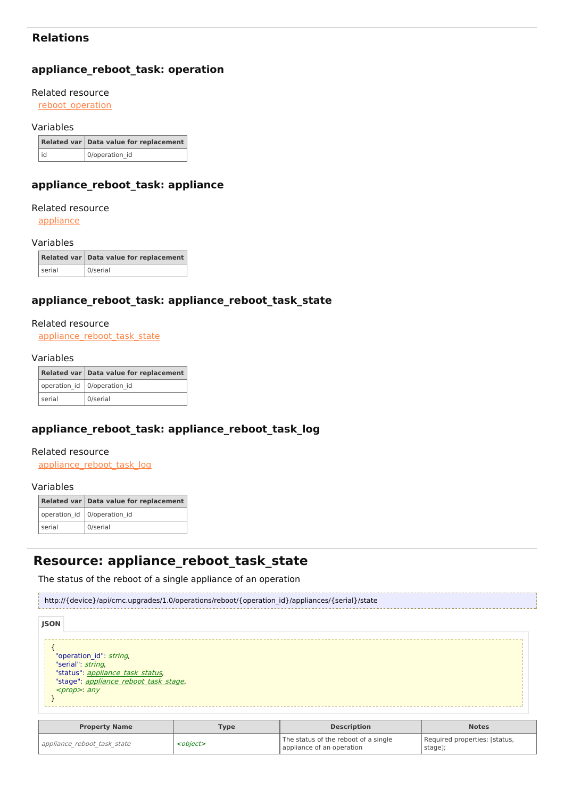## **Relations**

## **appliance\_reboot\_task: operation**

#### Related resource

[reboot\\_operation](http://support.riverbed.com/apis/cmc.upgrades/1.0#/resources/reboot_operation)

#### Variables

|    | Related var Data value for replacement |
|----|----------------------------------------|
| id | 0/operation id                         |

## **appliance\_reboot\_task: appliance**

#### Related resource

[appliance](http://support.riverbed.com/apis/cmc.upgrades/1.0#/resources/appliance)

#### Variables

|        | Related var Data value for replacement |
|--------|----------------------------------------|
| serial | 0/serial                               |

## **appliance\_reboot\_task: appliance\_reboot\_task\_state**

#### Related resource

[appliance\\_reboot\\_task\\_state](http://support.riverbed.com/apis/cmc.upgrades/1.0#/resources/appliance_reboot_task_state)

#### Variables

|        | Related var   Data value for replacement |
|--------|------------------------------------------|
|        | operation id   0/operation id            |
| serial | 0/serial                                 |

## **appliance\_reboot\_task: appliance\_reboot\_task\_log**

#### Related resource

[appliance\\_reboot\\_task\\_log](http://support.riverbed.com/apis/cmc.upgrades/1.0#/resources/appliance_reboot_task_log)

#### Variables

|        | Related var Data value for replacement |
|--------|----------------------------------------|
|        | operation_id   0/operation_id          |
| serial | 0/serial                               |

# **Resource: appliance\_reboot\_task\_state**

The status of the reboot of a single appliance of an operation

http://{device}/api/cmc.upgrades/1.0/operations/reboot/{operation\_id}/appliances/{serial}/state

| <b>JSON</b> |                                                                                                                                                |  |
|-------------|------------------------------------------------------------------------------------------------------------------------------------------------|--|
|             | "operation id": string,<br>"serial": string,<br>"status": appliance task status,<br>"stage": appliance reboot task stage,<br><prop> any</prop> |  |

| <b>Property Name</b>        | <b>Type</b>       | <b>Description</b>                                                | <b>Notes</b>                             |
|-----------------------------|-------------------|-------------------------------------------------------------------|------------------------------------------|
| appliance reboot task state | <object></object> | The status of the reboot of a single<br>appliance of an operation | Required properties: [status,<br>stage]; |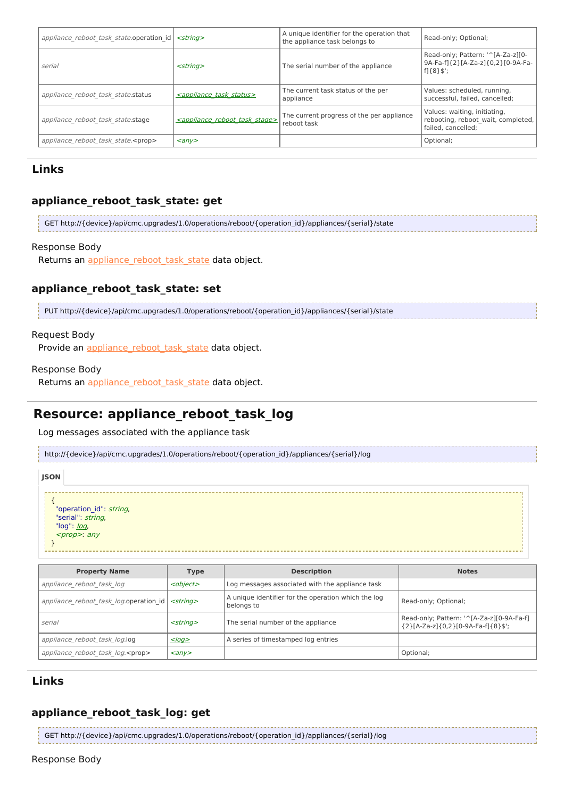| appliance reboot task state.operation id   | <strina></strina>                                  | A unique identifier for the operation that<br>the appliance task belongs to | Read-only; Optional;                                                                               |
|--------------------------------------------|----------------------------------------------------|-----------------------------------------------------------------------------|----------------------------------------------------------------------------------------------------|
| serial                                     | $<$ strina $>$                                     | The serial number of the appliance                                          | Read-only; Pattern: '^[A-Za-z][0-<br>9A-Fa-f]{2}[A-Za-z]{0,2}[0-9A-Fa-<br>$f$ <sub>1</sub> {8}\$'; |
| appliance reboot task state.status         | <appliance status="" task=""></appliance>          | The current task status of the per<br>appliance                             | Values: scheduled, running,<br>successful, failed, cancelled:                                      |
| appliance reboot task state.stage          | <appliance reboot="" stage="" task=""></appliance> | The current progress of the per appliance<br>reboot task                    | Values: waiting, initiating,<br>rebooting, reboot wait, completed,<br>failed, cancelled;           |
| appliance reboot task state. <prop></prop> | $\langle$ any $\rangle$                            |                                                                             | Optional;                                                                                          |

## **appliance\_reboot\_task\_state: get**

```
GET http://{device}/api/cmc.upgrades/1.0/operations/reboot/{operation_id}/appliances/{serial}/state
```
#### Response Body

Returns an appliance reboot task state data object.

### **appliance\_reboot\_task\_state: set**

PUT http://{device}/api/cmc.upgrades/1.0/operations/reboot/{operation\_id}/appliances/{serial}/state

#### Request Body

Provide an appliance reboot task state data object.

#### Response Body

Returns an appliance reboot task state data object.

# **Resource: appliance\_reboot\_task\_log**

Log messages associated with the appliance task

http://{device}/api/cmc.upgrades/1.0/operations/reboot/{operation\_id}/appliances/{serial}/log

| <b>JSON</b>                                                                                                       |  |  |  |
|-------------------------------------------------------------------------------------------------------------------|--|--|--|
| "operation_id": <i>string</i> ,<br>"serial": <i>string</i> ,<br>"log": <u>log</u> ,<br><i><prop></prop></i> : any |  |  |  |

| <b>Property Name</b>                                       | <b>Type</b>             | <b>Description</b>                                                | <b>Notes</b>                                                                    |
|------------------------------------------------------------|-------------------------|-------------------------------------------------------------------|---------------------------------------------------------------------------------|
| appliance reboot task log                                  | <object></object>       | Log messages associated with the appliance task                   |                                                                                 |
| appliance reboot task log.operation id   <string></string> |                         | A unique identifier for the operation which the log<br>belongs to | Read-only; Optional;                                                            |
| serial                                                     | $<$ strina $>$          | The serial number of the appliance                                | Read-only; Pattern: '^[A-Za-z][0-9A-Fa-f]<br>${2}[A-Za-z]{0,2}[0.9A-Fa-f]{8}$ ; |
| appliance reboot task log.log                              | $<$ log $\ge$           | A series of timestamped log entries                               |                                                                                 |
| appliance reboot task log. <prop></prop>                   | $\langle$ any $\rangle$ |                                                                   | Optional;                                                                       |

## **Links**

### **appliance\_reboot\_task\_log: get**

GET http://{device}/api/cmc.upgrades/1.0/operations/reboot/{operation\_id}/appliances/{serial}/log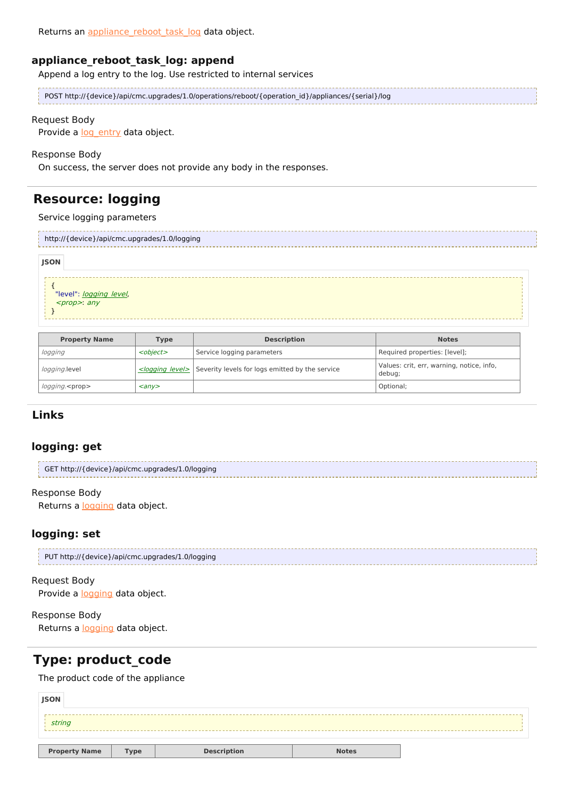## **appliance\_reboot\_task\_log: append**

Append a log entry to the log. Use restricted to internal services

| POST http://{device}/api/cmc.upgrades/1.0/operations/reboot/{operation_id}/appliances/{serial}/log |
|----------------------------------------------------------------------------------------------------|
|                                                                                                    |

### Request Body

Provide a log entry data object.

#### Response Body

On success, the server does not provide any body in the responses.

# **Resource: logging**

### Service logging parameters

| http://{device}/api/cmc.upgrades/1.0/logging      |             |                    |              |  |  |
|---------------------------------------------------|-------------|--------------------|--------------|--|--|
| <b>JSON</b>                                       |             |                    |              |  |  |
| "level": <u>logging_level</u> ,<br>$<$ prop>: any |             |                    |              |  |  |
| <b>Property Name</b>                              | <b>Type</b> | <b>Description</b> | <b>Notes</b> |  |  |

| <b>Property Name</b>   | Type                    | <b>Description</b>                                                    | <b>Notes</b>                                        |
|------------------------|-------------------------|-----------------------------------------------------------------------|-----------------------------------------------------|
| logging                | <object></object>       | Service logging parameters                                            | Required properties: [level];                       |
| <i>logging.</i> level  |                         | $\leq$ logging level> Severity levels for logs emitted by the service | Values: crit, err, warning, notice, info,<br>debug; |
| logging. <prop></prop> | $\langle$ any $\rangle$ |                                                                       | Optional:                                           |

## **Links**

### **logging: get**

| GET http://{device}/api/cmc.upgrades/1.0/logging |
|--------------------------------------------------|
|                                                  |

## Response Body

Returns a [logging](http://support.riverbed.com/apis/cmc.upgrades/1.0#/resources/logging) data object.

## **logging: set**

| PUT http://{device}/api/cmc.upgrades/1.0/logging |
|--------------------------------------------------|
|                                                  |

### Request Body

Provide a [logging](http://support.riverbed.com/apis/cmc.upgrades/1.0#/resources/logging) data object.

### Response Body

Returns a [logging](http://support.riverbed.com/apis/cmc.upgrades/1.0#/resources/logging) data object.

## **Type: product\_code**

The product code of the appliance

| <b>JSON</b>          |             |                    |              |  |
|----------------------|-------------|--------------------|--------------|--|
| string               |             |                    |              |  |
|                      |             |                    |              |  |
| <b>Property Name</b> | <b>Type</b> | <b>Description</b> | <b>Notes</b> |  |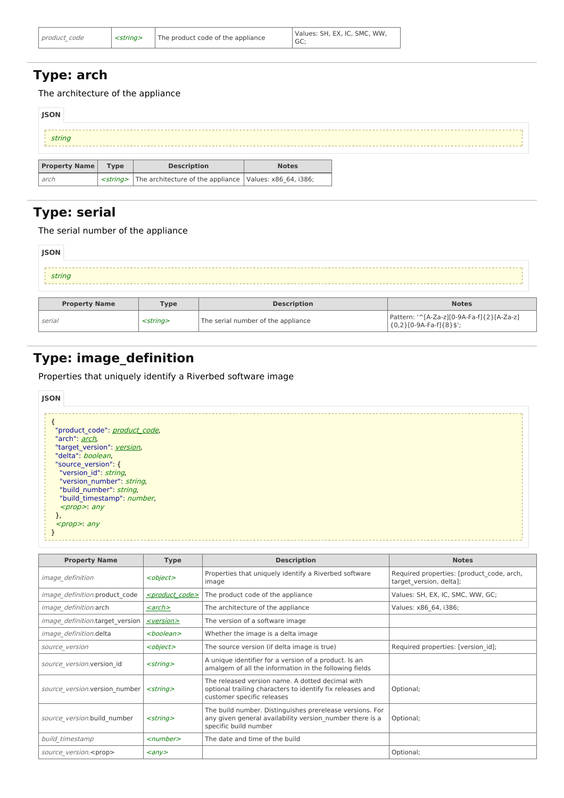# **Type: arch**

The architecture of the appliance

| <b>JSON</b>          |             |                                                                           |              |  |  |  |  |
|----------------------|-------------|---------------------------------------------------------------------------|--------------|--|--|--|--|
| string               |             |                                                                           |              |  |  |  |  |
|                      |             |                                                                           |              |  |  |  |  |
| <b>Property Name</b> | <b>Type</b> | <b>Description</b>                                                        | <b>Notes</b> |  |  |  |  |
| arch                 |             | <string> The architecture of the appliance Values: x86_64, i386;</string> |              |  |  |  |  |

# **Type: serial**

## The serial number of the appliance

| JSON                 |                |                                    |                                                                      |
|----------------------|----------------|------------------------------------|----------------------------------------------------------------------|
| string               |                |                                    |                                                                      |
| <b>Property Name</b> | <b>Type</b>    | <b>Description</b>                 | <b>Notes</b>                                                         |
| serial               | $<$ string $>$ | The serial number of the appliance | Pattern: '^[A-Za-z][0-9A-Fa-f]{2}[A-Za-z]<br>${0,2}[0.9A-Fa-f]{8}$ ; |

# **Type: image\_definition**

Properties that uniquely identify a Riverbed software image

| <b>JSON</b>                   |  |
|-------------------------------|--|
|                               |  |
|                               |  |
| "product code": product code, |  |
| "arch": arch,                 |  |
| "target version": version,    |  |
| "delta": boolean.             |  |
| "source version": {           |  |
| "version id": string,         |  |
| "version number": string,     |  |
| "build number": string,       |  |
| "build timestamp": number,    |  |
| $<$ prop>: any                |  |
| ł,                            |  |
| $<$ prop>: any                |  |
|                               |  |
|                               |  |

| <b>Property Name</b>                   | <b>Type</b>                 | <b>Description</b>                                                                                                                            | <b>Notes</b>                                                         |
|----------------------------------------|-----------------------------|-----------------------------------------------------------------------------------------------------------------------------------------------|----------------------------------------------------------------------|
| <object><br/>image definition</object> |                             | Properties that uniquely identify a Riverbed software<br>image                                                                                | Required properties: [product code, arch,<br>target version, delta]; |
| image definition.product code          | <product code=""></product> | The product code of the appliance                                                                                                             | Values: SH, EX, IC, SMC, WW, GC;                                     |
| image definition.arch                  | <arch></arch>               | The architecture of the appliance                                                                                                             | Values: x86 64, i386;                                                |
| <i>image definition.target version</i> | <version></version>         | The version of a software image                                                                                                               |                                                                      |
| image definition.delta                 | <boolean></boolean>         | Whether the image is a delta image                                                                                                            |                                                                      |
| source version                         | <object></object>           | The source version (if delta image is true)                                                                                                   | Required properties: [version id];                                   |
| source version.version id              | $<$ string $>$              | A unique identifier for a version of a product. Is an<br>amalgem of all the information in the following fields                               |                                                                      |
| source version.version number          | $<$ string $>$              | The released version name. A dotted decimal with<br>optional trailing characters to identify fix releases and<br>customer specific releases   | Optional;                                                            |
| source version.build number            | $<$ string $>$              | The build number. Distinguishes prerelease versions. For<br>any given general availability version number there is a<br>specific build number | Optional;                                                            |
| build timestamp                        | $\le$ number $>$            | The date and time of the build                                                                                                                |                                                                      |
| source version. <prop></prop>          | $\langle \rangle$           |                                                                                                                                               | Optional;                                                            |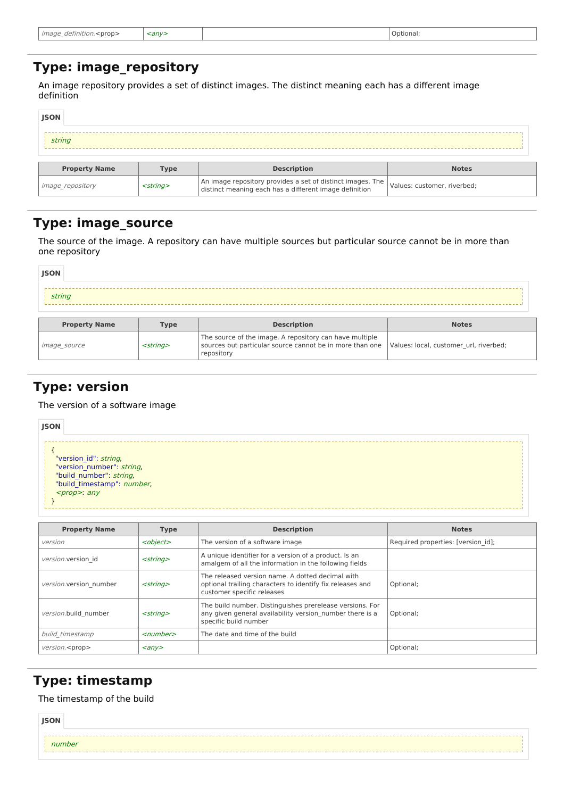| image<br><prop><br/>definition.<br/><math>\sim</math> <math>-</math></prop> | anv> | Optional |
|-----------------------------------------------------------------------------|------|----------|
|                                                                             |      |          |

## **Type: image\_repository**

An image repository provides a set of distinct images. The distinct meaning each has a different image definition

| <b>JSON</b>             |                   |                                                                                                                      |                             |  |  |
|-------------------------|-------------------|----------------------------------------------------------------------------------------------------------------------|-----------------------------|--|--|
| string                  |                   |                                                                                                                      |                             |  |  |
| <b>Property Name</b>    | <b>Type</b>       | <b>Description</b>                                                                                                   | <b>Notes</b>                |  |  |
| <i>image</i> repository | <string></string> | An image repository provides a set of distinct images. The<br>distinct meaning each has a different image definition | Values: customer, riverbed; |  |  |

## **Type: image\_source**

The source of the image. A repository can have multiple sources but particular source cannot be in more than one repository

| <b>JSON</b>          |                |                                                                                                                                   |                                        |  |
|----------------------|----------------|-----------------------------------------------------------------------------------------------------------------------------------|----------------------------------------|--|
| string               |                |                                                                                                                                   |                                        |  |
| <b>Property Name</b> | <b>Type</b>    | <b>Description</b>                                                                                                                | <b>Notes</b>                           |  |
| <i>image source</i>  | $<$ string $>$ | The source of the image. A repository can have multiple<br>sources but particular source cannot be in more than one<br>repository | Values: local, customer url, riverbed; |  |

# **Type: version**

The version of a software image

```
{
    "version_id": string,
    "version_number": string,
   "build_number": string,
   "build_timestamp": number,
    <prop>: any
  }
JSON
```

| <b>Property Name</b>   | <b>Type</b>             | <b>Description</b>                                                                                                                            | <b>Notes</b>                       |
|------------------------|-------------------------|-----------------------------------------------------------------------------------------------------------------------------------------------|------------------------------------|
| version                | <object></object>       | The version of a software image                                                                                                               | Required properties: [version id]; |
| version.version id     | $<$ strina $>$          | A unique identifier for a version of a product. Is an<br>amalgem of all the information in the following fields                               |                                    |
| version.version number | $<$ string $>$          | The released version name. A dotted decimal with<br>optional trailing characters to identify fix releases and<br>customer specific releases   | Optional;                          |
| version.build number   | $<$ strina $>$          | The build number. Distinguishes prerelease versions. For<br>any given general availability version number there is a<br>specific build number | Optional;                          |
| build timestamp        | $<$ number $>$          | The date and time of the build                                                                                                                |                                    |
| version. <prop></prop> | $\langle$ any $\rangle$ |                                                                                                                                               | Optional;                          |

# **Type: timestamp**

The timestamp of the build

 $\overline{\phantom{a}}$ 

 $\overline{\phantom{a}}$ 

| <b>JSON</b> |        |  |
|-------------|--------|--|
|             |        |  |
|             | number |  |
|             |        |  |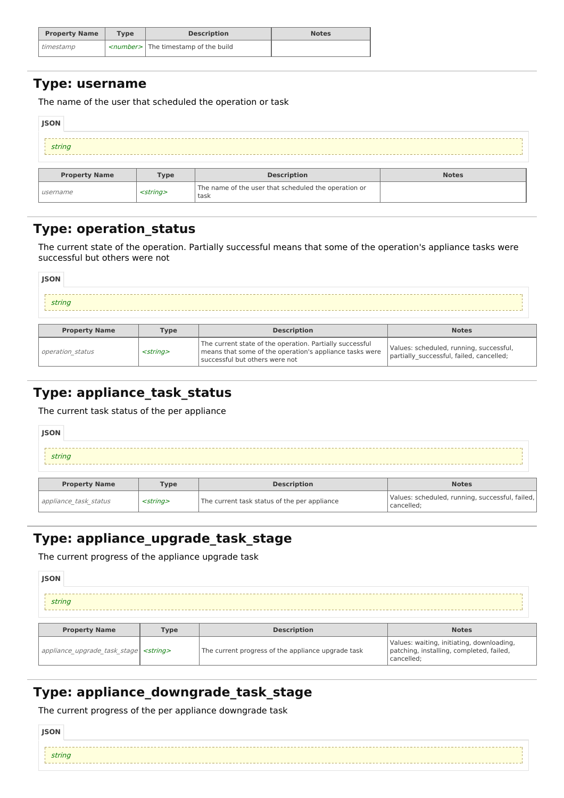| <b>Property Name</b> | Type | <b>Description</b>                             | <b>Notes</b> |
|----------------------|------|------------------------------------------------|--------------|
| l timestamp          |      | < <i>number&gt;</i> The timestamp of the build |              |

## **Type: username**

The name of the user that scheduled the operation or task

| <b>JSON</b>          |                |                                                              |              |  |
|----------------------|----------------|--------------------------------------------------------------|--------------|--|
| string               |                |                                                              |              |  |
| <b>Property Name</b> | <b>Type</b>    | <b>Description</b>                                           | <b>Notes</b> |  |
| username             | $<$ string $>$ | The name of the user that scheduled the operation or<br>task |              |  |

# **Type: operation\_status**

The current state of the operation. Partially successful means that some of the operation's appliance tasks were successful but others were not

| <b>Property Name</b> | <b>Type</b> | <b>Description</b> | <b>Notes</b> |
|----------------------|-------------|--------------------|--------------|
|                      |             |                    |              |
| string               |             |                    |              |
|                      |             |                    |              |
| <b>JSON</b>          |             |                    |              |

| <b>Property Name</b> | Type              | <b>Description</b>                                                                                                                                      | <b>Notes</b>                                                                        |
|----------------------|-------------------|---------------------------------------------------------------------------------------------------------------------------------------------------------|-------------------------------------------------------------------------------------|
| operation status     | <strina></strina> | The current state of the operation. Partially successful<br>means that some of the operation's appliance tasks were<br>l successful but others were not | Values: scheduled, running, successful,<br>partially successful, failed, cancelled; |

# **Type: appliance\_task\_status**

The current task status of the per appliance

| <b>JSON</b>          |             |                    |              |
|----------------------|-------------|--------------------|--------------|
| string               |             |                    |              |
|                      |             |                    |              |
| <b>Property Name</b> | <b>Type</b> | <b>Description</b> | <b>Notes</b> |

# **Type: appliance\_upgrade\_task\_stage**

The current progress of the appliance upgrade task

| <b>JSON</b>                                                               |  |  |  |  |
|---------------------------------------------------------------------------|--|--|--|--|
| string                                                                    |  |  |  |  |
| <b>Description</b><br><b>Property Name</b><br><b>Notes</b><br><b>Type</b> |  |  |  |  |

| appliance_upgrade_task_stage   <string></string> | The current progress of the appliance upgrade task | Values: waiting, initiating, downloading,<br>  patching, installing, completed, failed,<br>cancelled: |
|--------------------------------------------------|----------------------------------------------------|-------------------------------------------------------------------------------------------------------|
|                                                  |                                                    |                                                                                                       |

# **Type: appliance\_downgrade\_task\_stage**

The current progress of the per appliance downgrade task

| <b>JSON</b>          |  |
|----------------------|--|
| $\frac{1}{2}$ string |  |
|                      |  |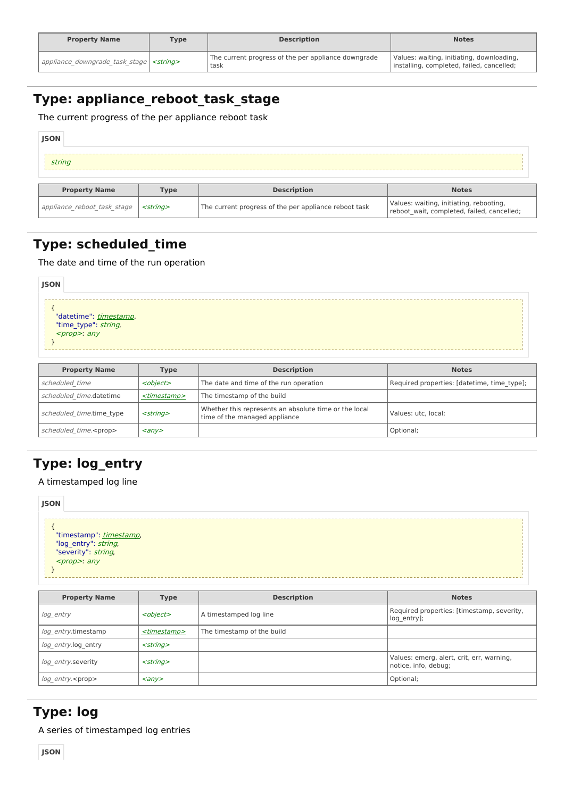| <b>Property Name</b>                               | <b>Type</b> | <b>Description</b>                                          | <b>Notes</b>                                                                           |
|----------------------------------------------------|-------------|-------------------------------------------------------------|----------------------------------------------------------------------------------------|
| appliance_downgrade_task_stage   <string></string> |             | The current progress of the per appliance downgrade<br>task | Values: waiting, initiating, downloading,<br>installing, completed, failed, cancelled; |

# **Type: appliance\_reboot\_task\_stage**

The current progress of the per appliance reboot task

| <b>JSON</b>                 |                |                                                       |                                                                                       |
|-----------------------------|----------------|-------------------------------------------------------|---------------------------------------------------------------------------------------|
| string                      |                |                                                       |                                                                                       |
| <b>Property Name</b>        | <b>Type</b>    | <b>Description</b>                                    | <b>Notes</b>                                                                          |
| appliance reboot task stage | $<$ string $>$ | The current progress of the per appliance reboot task | Values: waiting, initiating, rebooting,<br>reboot_wait, completed, failed, cancelled; |

# **Type: scheduled\_time**

The date and time of the run operation

| <b>JSON</b>                                                                          |  |
|--------------------------------------------------------------------------------------|--|
| "datetime": <i>timestamp</i> ,<br>"time_type": <i>string</i> ,<br><prop>: any</prop> |  |

| <b>Property Name</b>          | <b>Type</b>             | <b>Description</b>                                                                     | <b>Notes</b>                                |
|-------------------------------|-------------------------|----------------------------------------------------------------------------------------|---------------------------------------------|
| scheduled time                | <object></object>       | The date and time of the run operation                                                 | Required properties: [datetime, time_type]; |
| scheduled time.datetime       | <timestamp></timestamp> | The timestamp of the build                                                             |                                             |
| scheduled time.time type      | $<$ string $>$          | Whether this represents an absolute time or the local<br>time of the managed appliance | Values: utc. local:                         |
| scheduled time. <prop></prop> | $\langle$ any $\rangle$ |                                                                                        | Optional;                                   |

# **Type: log\_entry**

A timestamped log line



| <b>Property Name</b>     | <b>Type</b>             | <b>Description</b>         | <b>Notes</b>                                                      |
|--------------------------|-------------------------|----------------------------|-------------------------------------------------------------------|
| log entry                | <object></object>       | A timestamped log line     | Required properties: [timestamp, severity,<br>log entry];         |
| log entry.timestamp      | <timestamp></timestamp> | The timestamp of the build |                                                                   |
| log entry.log entry      | $<$ string $>$          |                            |                                                                   |
| log entry.severity       | $<$ string $>$          |                            | Values: emerg, alert, crit, err, warning,<br>notice, info, debug; |
| log entry. <prop></prop> | $\langle$ any $\rangle$ |                            | Optional;                                                         |

# **Type: log**

A series of timestamped log entries